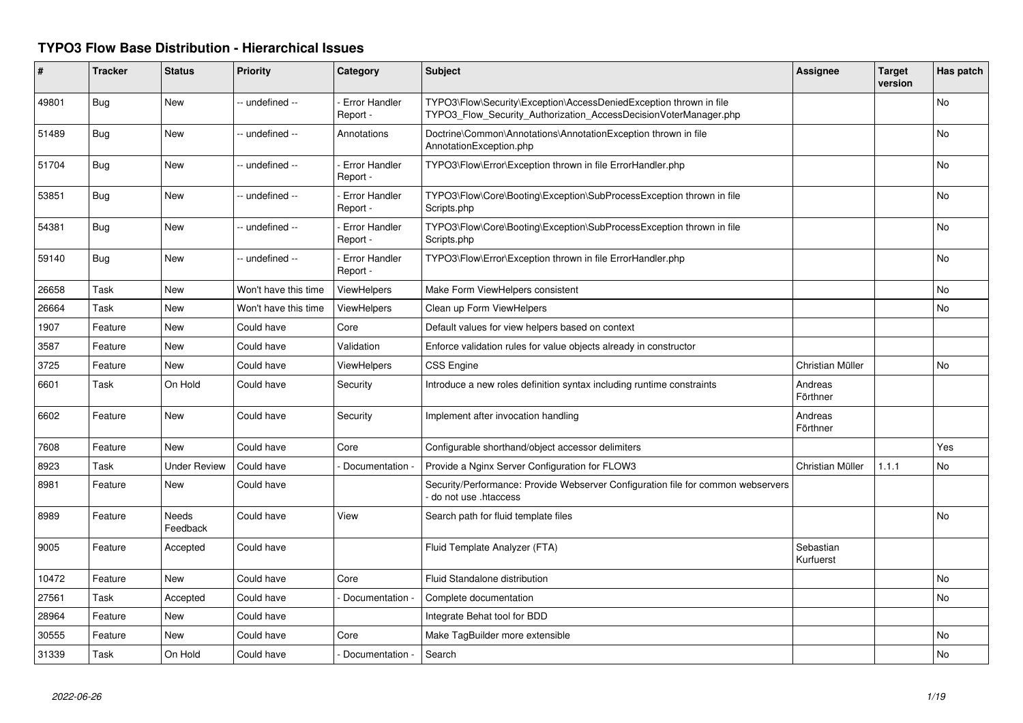## **TYPO3 Flow Base Distribution - Hierarchical Issues**

| #     | <b>Tracker</b> | <b>Status</b>       | <b>Priority</b>      | Category                         | <b>Subject</b>                                                                                                                         | <b>Assignee</b>        | <b>Target</b><br>version | Has patch |
|-------|----------------|---------------------|----------------------|----------------------------------|----------------------------------------------------------------------------------------------------------------------------------------|------------------------|--------------------------|-----------|
| 49801 | <b>Bug</b>     | <b>New</b>          | -- undefined --      | - Error Handler<br>Report -      | TYPO3\Flow\Security\Exception\AccessDeniedException thrown in file<br>TYPO3_Flow_Security_Authorization_AccessDecisionVoterManager.php |                        |                          | No        |
| 51489 | <b>Bug</b>     | New                 | -- undefined --      | Annotations                      | Doctrine\Common\Annotations\AnnotationException thrown in file<br>AnnotationException.php                                              |                        |                          | <b>No</b> |
| 51704 | <b>Bug</b>     | <b>New</b>          | -- undefined --      | Error Handler<br>Report -        | TYPO3\Flow\Error\Exception thrown in file ErrorHandler.php                                                                             |                        |                          | No        |
| 53851 | <b>Bug</b>     | <b>New</b>          | -- undefined --      | <b>Error Handler</b><br>Report - | TYPO3\Flow\Core\Booting\Exception\SubProcessException thrown in file<br>Scripts.php                                                    |                        |                          | No        |
| 54381 | <b>Bug</b>     | <b>New</b>          | -- undefined --      | - Error Handler<br>Report -      | TYPO3\Flow\Core\Booting\Exception\SubProcessException thrown in file<br>Scripts.php                                                    |                        |                          | No        |
| 59140 | <b>Bug</b>     | <b>New</b>          | -- undefined --      | <b>Error Handler</b><br>Report - | TYPO3\Flow\Error\Exception thrown in file ErrorHandler.php                                                                             |                        |                          | No        |
| 26658 | Task           | New                 | Won't have this time | ViewHelpers                      | Make Form ViewHelpers consistent                                                                                                       |                        |                          | No        |
| 26664 | Task           | <b>New</b>          | Won't have this time | ViewHelpers                      | Clean up Form ViewHelpers                                                                                                              |                        |                          | <b>No</b> |
| 1907  | Feature        | New                 | Could have           | Core                             | Default values for view helpers based on context                                                                                       |                        |                          |           |
| 3587  | Feature        | New                 | Could have           | Validation                       | Enforce validation rules for value objects already in constructor                                                                      |                        |                          |           |
| 3725  | Feature        | <b>New</b>          | Could have           | <b>ViewHelpers</b>               | <b>CSS Engine</b>                                                                                                                      | Christian Müller       |                          | <b>No</b> |
| 6601  | Task           | On Hold             | Could have           | Security                         | Introduce a new roles definition syntax including runtime constraints                                                                  | Andreas<br>Förthner    |                          |           |
| 6602  | Feature        | <b>New</b>          | Could have           | Security                         | Implement after invocation handling                                                                                                    | Andreas<br>Förthner    |                          |           |
| 7608  | Feature        | New                 | Could have           | Core                             | Configurable shorthand/object accessor delimiters                                                                                      |                        |                          | Yes       |
| 8923  | Task           | <b>Under Review</b> | Could have           | Documentation -                  | Provide a Nginx Server Configuration for FLOW3                                                                                         | Christian Müller       | 1.1.1                    | No        |
| 8981  | Feature        | New                 | Could have           |                                  | Security/Performance: Provide Webserver Configuration file for common webservers<br>do not use .htaccess                               |                        |                          |           |
| 8989  | Feature        | Needs<br>Feedback   | Could have           | View                             | Search path for fluid template files                                                                                                   |                        |                          | No        |
| 9005  | Feature        | Accepted            | Could have           |                                  | Fluid Template Analyzer (FTA)                                                                                                          | Sebastian<br>Kurfuerst |                          |           |
| 10472 | Feature        | <b>New</b>          | Could have           | Core                             | Fluid Standalone distribution                                                                                                          |                        |                          | <b>No</b> |
| 27561 | Task           | Accepted            | Could have           | Documentation -                  | Complete documentation                                                                                                                 |                        |                          | <b>No</b> |
| 28964 | Feature        | New                 | Could have           |                                  | Integrate Behat tool for BDD                                                                                                           |                        |                          |           |
| 30555 | Feature        | New                 | Could have           | Core                             | Make TagBuilder more extensible                                                                                                        |                        |                          | No        |
| 31339 | Task           | On Hold             | Could have           | Documentation -                  | Search                                                                                                                                 |                        |                          | <b>No</b> |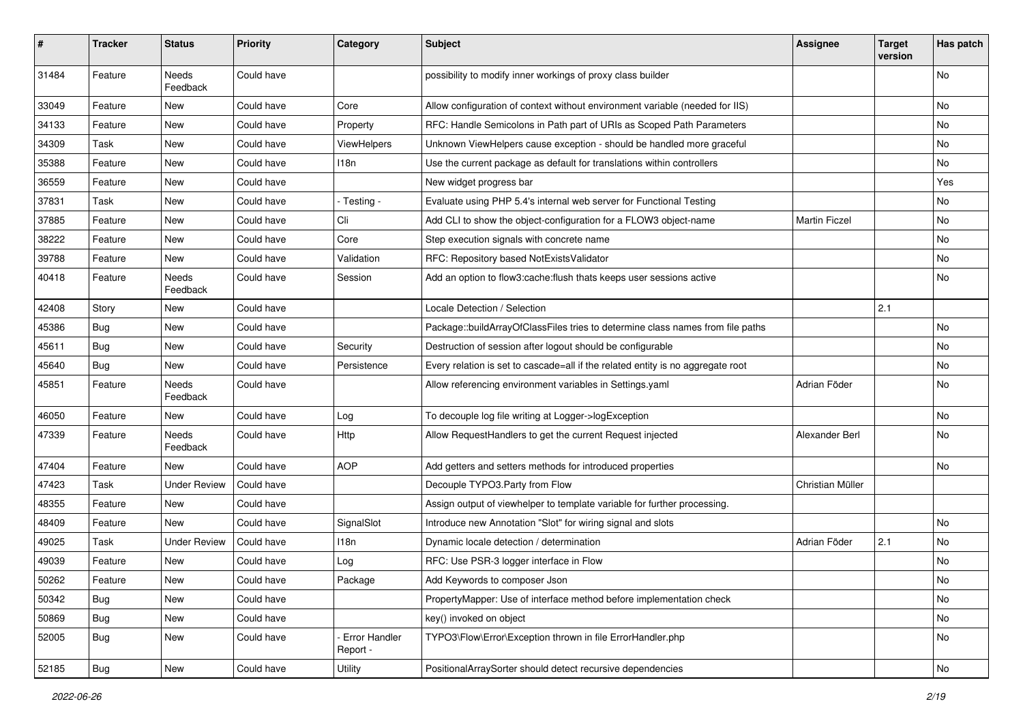| #     | <b>Tracker</b> | <b>Status</b>       | <b>Priority</b> | Category                  | <b>Subject</b>                                                                  | <b>Assignee</b>      | <b>Target</b><br>version | Has patch |
|-------|----------------|---------------------|-----------------|---------------------------|---------------------------------------------------------------------------------|----------------------|--------------------------|-----------|
| 31484 | Feature        | Needs<br>Feedback   | Could have      |                           | possibility to modify inner workings of proxy class builder                     |                      |                          | No        |
| 33049 | Feature        | New                 | Could have      | Core                      | Allow configuration of context without environment variable (needed for IIS)    |                      |                          | No        |
| 34133 | Feature        | New                 | Could have      | Property                  | RFC: Handle Semicolons in Path part of URIs as Scoped Path Parameters           |                      |                          | No        |
| 34309 | Task           | New                 | Could have      | <b>ViewHelpers</b>        | Unknown ViewHelpers cause exception - should be handled more graceful           |                      |                          | No        |
| 35388 | Feature        | New                 | Could have      | 118n                      | Use the current package as default for translations within controllers          |                      |                          | <b>No</b> |
| 36559 | Feature        | New                 | Could have      |                           | New widget progress bar                                                         |                      |                          | Yes       |
| 37831 | Task           | New                 | Could have      | - Testing -               | Evaluate using PHP 5.4's internal web server for Functional Testing             |                      |                          | No        |
| 37885 | Feature        | New                 | Could have      | Cli                       | Add CLI to show the object-configuration for a FLOW3 object-name                | <b>Martin Ficzel</b> |                          | No        |
| 38222 | Feature        | New                 | Could have      | Core                      | Step execution signals with concrete name                                       |                      |                          | No        |
| 39788 | Feature        | New                 | Could have      | Validation                | RFC: Repository based NotExistsValidator                                        |                      |                          | No        |
| 40418 | Feature        | Needs<br>Feedback   | Could have      | Session                   | Add an option to flow3:cache: flush thats keeps user sessions active            |                      |                          | No        |
| 42408 | Story          | New                 | Could have      |                           | Locale Detection / Selection                                                    |                      | 2.1                      |           |
| 45386 | <b>Bug</b>     | New                 | Could have      |                           | Package::buildArrayOfClassFiles tries to determine class names from file paths  |                      |                          | <b>No</b> |
| 45611 | Bug            | New                 | Could have      | Security                  | Destruction of session after logout should be configurable                      |                      |                          | No        |
| 45640 | Bug            | New                 | Could have      | Persistence               | Every relation is set to cascade=all if the related entity is no aggregate root |                      |                          | No        |
| 45851 | Feature        | Needs<br>Feedback   | Could have      |                           | Allow referencing environment variables in Settings.yaml                        | Adrian Föder         |                          | No        |
| 46050 | Feature        | New                 | Could have      | Log                       | To decouple log file writing at Logger->logException                            |                      |                          | No        |
| 47339 | Feature        | Needs<br>Feedback   | Could have      | <b>Http</b>               | Allow RequestHandlers to get the current Request injected                       | Alexander Berl       |                          | <b>No</b> |
| 47404 | Feature        | New                 | Could have      | <b>AOP</b>                | Add getters and setters methods for introduced properties                       |                      |                          | No        |
| 47423 | Task           | <b>Under Review</b> | Could have      |                           | Decouple TYPO3.Party from Flow                                                  | Christian Müller     |                          |           |
| 48355 | Feature        | New                 | Could have      |                           | Assign output of viewhelper to template variable for further processing.        |                      |                          |           |
| 48409 | Feature        | New                 | Could have      | SignalSlot                | Introduce new Annotation "Slot" for wiring signal and slots                     |                      |                          | No        |
| 49025 | Task           | <b>Under Review</b> | Could have      | 118n                      | Dynamic locale detection / determination                                        | Adrian Föder         | 2.1                      | <b>No</b> |
| 49039 | Feature        | New                 | Could have      | Log                       | RFC: Use PSR-3 logger interface in Flow                                         |                      |                          | No        |
| 50262 | Feature        | New                 | Could have      | Package                   | Add Keywords to composer Json                                                   |                      |                          | <b>NO</b> |
| 50342 | <b>Bug</b>     | New                 | Could have      |                           | PropertyMapper: Use of interface method before implementation check             |                      |                          | No        |
| 50869 | Bug            | New                 | Could have      |                           | key() invoked on object                                                         |                      |                          | No        |
| 52005 | <b>Bug</b>     | New                 | Could have      | Error Handler<br>Report - | TYPO3\Flow\Error\Exception thrown in file ErrorHandler.php                      |                      |                          | No        |
| 52185 | <b>Bug</b>     | New                 | Could have      | <b>Utility</b>            | PositionalArraySorter should detect recursive dependencies                      |                      |                          | No        |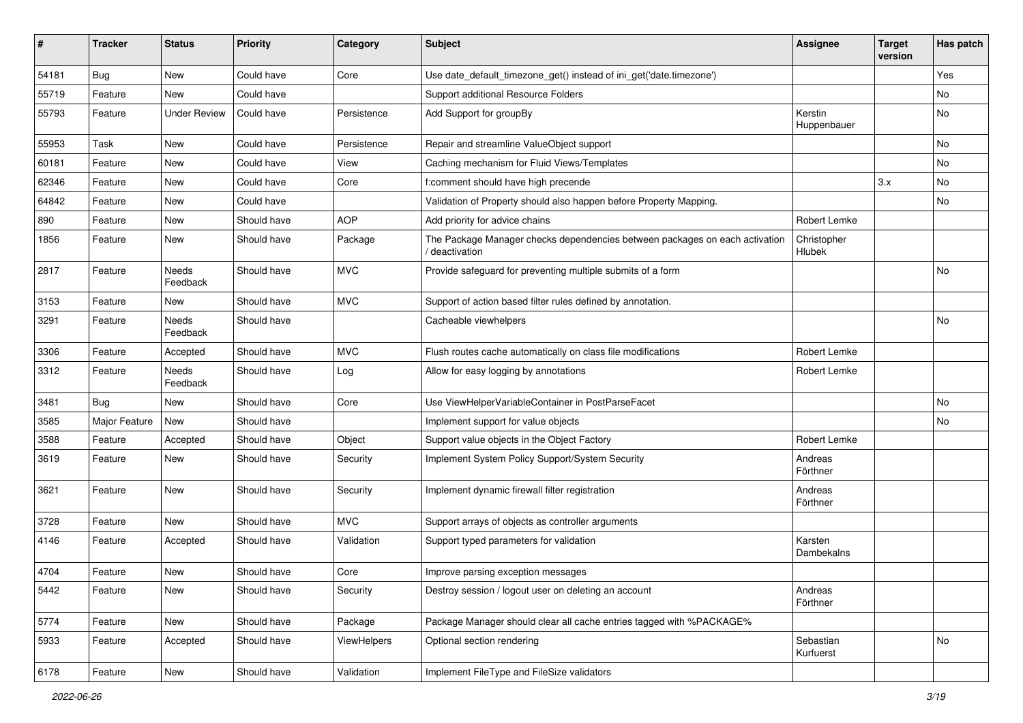| #     | <b>Tracker</b> | <b>Status</b>       | <b>Priority</b> | Category           | Subject                                                                                       | <b>Assignee</b>        | <b>Target</b><br>version | Has patch |
|-------|----------------|---------------------|-----------------|--------------------|-----------------------------------------------------------------------------------------------|------------------------|--------------------------|-----------|
| 54181 | <b>Bug</b>     | New                 | Could have      | Core               | Use date_default_timezone_get() instead of ini_get('date.timezone')                           |                        |                          | Yes       |
| 55719 | Feature        | New                 | Could have      |                    | Support additional Resource Folders                                                           |                        |                          | No        |
| 55793 | Feature        | <b>Under Review</b> | Could have      | Persistence        | Add Support for groupBy                                                                       | Kerstin<br>Huppenbauer |                          | No        |
| 55953 | Task           | New                 | Could have      | Persistence        | Repair and streamline ValueObject support                                                     |                        |                          | No        |
| 60181 | Feature        | New                 | Could have      | View               | Caching mechanism for Fluid Views/Templates                                                   |                        |                          | No        |
| 62346 | Feature        | New                 | Could have      | Core               | f:comment should have high precende                                                           |                        | 3.x                      | No        |
| 64842 | Feature        | New                 | Could have      |                    | Validation of Property should also happen before Property Mapping.                            |                        |                          | No        |
| 890   | Feature        | New                 | Should have     | <b>AOP</b>         | Add priority for advice chains                                                                | Robert Lemke           |                          |           |
| 1856  | Feature        | New                 | Should have     | Package            | The Package Manager checks dependencies between packages on each activation<br>/ deactivation | Christopher<br>Hlubek  |                          |           |
| 2817  | Feature        | Needs<br>Feedback   | Should have     | <b>MVC</b>         | Provide safeguard for preventing multiple submits of a form                                   |                        |                          | No        |
| 3153  | Feature        | New                 | Should have     | <b>MVC</b>         | Support of action based filter rules defined by annotation.                                   |                        |                          |           |
| 3291  | Feature        | Needs<br>Feedback   | Should have     |                    | Cacheable viewhelpers                                                                         |                        |                          | No        |
| 3306  | Feature        | Accepted            | Should have     | <b>MVC</b>         | Flush routes cache automatically on class file modifications                                  | Robert Lemke           |                          |           |
| 3312  | Feature        | Needs<br>Feedback   | Should have     | Log                | Allow for easy logging by annotations                                                         | Robert Lemke           |                          |           |
| 3481  | Bug            | <b>New</b>          | Should have     | Core               | Use ViewHelperVariableContainer in PostParseFacet                                             |                        |                          | No        |
| 3585  | Major Feature  | New                 | Should have     |                    | Implement support for value objects                                                           |                        |                          | No        |
| 3588  | Feature        | Accepted            | Should have     | Object             | Support value objects in the Object Factory                                                   | Robert Lemke           |                          |           |
| 3619  | Feature        | New                 | Should have     | Security           | Implement System Policy Support/System Security                                               | Andreas<br>Förthner    |                          |           |
| 3621  | Feature        | New                 | Should have     | Security           | Implement dynamic firewall filter registration                                                | Andreas<br>Förthner    |                          |           |
| 3728  | Feature        | New                 | Should have     | <b>MVC</b>         | Support arrays of objects as controller arguments                                             |                        |                          |           |
| 4146  | Feature        | Accepted            | Should have     | Validation         | Support typed parameters for validation                                                       | Karsten<br>Dambekalns  |                          |           |
| 4704  | Feature        | New                 | Should have     | Core               | Improve parsing exception messages                                                            |                        |                          |           |
| 5442  | Feature        | New                 | Should have     | Security           | Destroy session / logout user on deleting an account                                          | Andreas<br>Förthner    |                          |           |
| 5774  | Feature        | New                 | Should have     | Package            | Package Manager should clear all cache entries tagged with %PACKAGE%                          |                        |                          |           |
| 5933  | Feature        | Accepted            | Should have     | <b>ViewHelpers</b> | Optional section rendering                                                                    | Sebastian<br>Kurfuerst |                          | No        |
| 6178  | Feature        | New                 | Should have     | Validation         | Implement FileType and FileSize validators                                                    |                        |                          |           |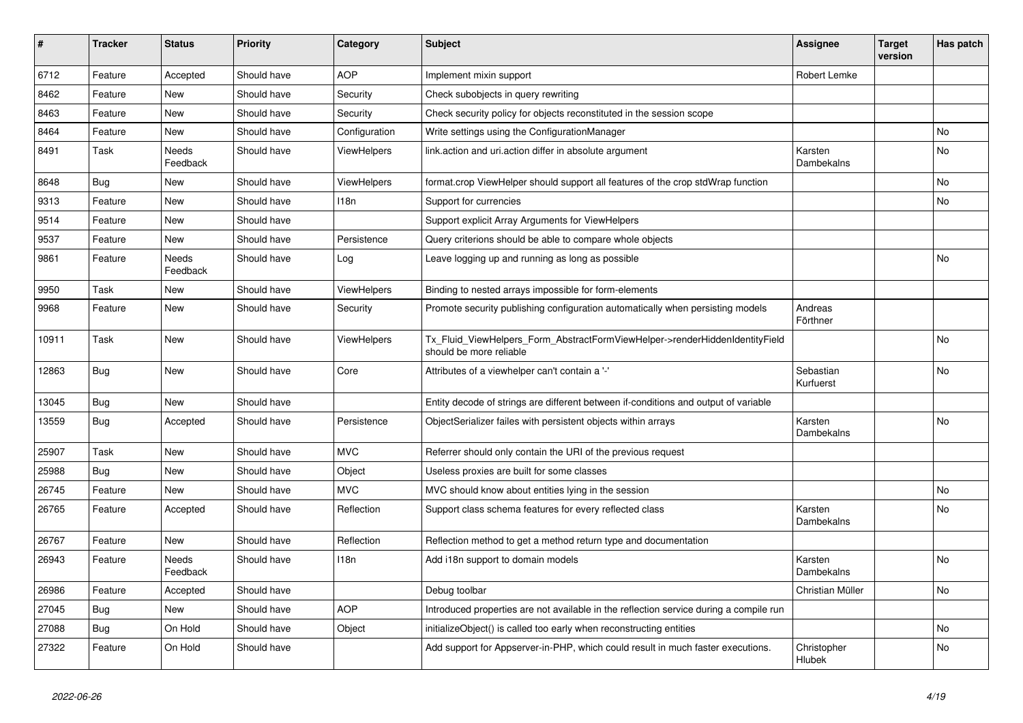| #     | <b>Tracker</b> | <b>Status</b>            | <b>Priority</b> | Category           | <b>Subject</b>                                                                                         | Assignee               | <b>Target</b><br>version | Has patch |
|-------|----------------|--------------------------|-----------------|--------------------|--------------------------------------------------------------------------------------------------------|------------------------|--------------------------|-----------|
| 6712  | Feature        | Accepted                 | Should have     | <b>AOP</b>         | Implement mixin support                                                                                | Robert Lemke           |                          |           |
| 8462  | Feature        | <b>New</b>               | Should have     | Security           | Check subobjects in query rewriting                                                                    |                        |                          |           |
| 8463  | Feature        | <b>New</b>               | Should have     | Security           | Check security policy for objects reconstituted in the session scope                                   |                        |                          |           |
| 8464  | Feature        | <b>New</b>               | Should have     | Configuration      | Write settings using the ConfigurationManager                                                          |                        |                          | No        |
| 8491  | Task           | <b>Needs</b><br>Feedback | Should have     | ViewHelpers        | link.action and uri.action differ in absolute argument                                                 | Karsten<br>Dambekalns  |                          | <b>No</b> |
| 8648  | <b>Bug</b>     | <b>New</b>               | Should have     | ViewHelpers        | format.crop ViewHelper should support all features of the crop stdWrap function                        |                        |                          | No        |
| 9313  | Feature        | <b>New</b>               | Should have     | 118n               | Support for currencies                                                                                 |                        |                          | No        |
| 9514  | Feature        | New                      | Should have     |                    | Support explicit Array Arguments for ViewHelpers                                                       |                        |                          |           |
| 9537  | Feature        | New                      | Should have     | Persistence        | Query criterions should be able to compare whole objects                                               |                        |                          |           |
| 9861  | Feature        | Needs<br>Feedback        | Should have     | Log                | Leave logging up and running as long as possible                                                       |                        |                          | No        |
| 9950  | Task           | <b>New</b>               | Should have     | <b>ViewHelpers</b> | Binding to nested arrays impossible for form-elements                                                  |                        |                          |           |
| 9968  | Feature        | New                      | Should have     | Security           | Promote security publishing configuration automatically when persisting models                         | Andreas<br>Förthner    |                          |           |
| 10911 | Task           | New                      | Should have     | <b>ViewHelpers</b> | Tx_Fluid_ViewHelpers_Form_AbstractFormViewHelper->renderHiddenIdentityField<br>should be more reliable |                        |                          | No        |
| 12863 | <b>Bug</b>     | <b>New</b>               | Should have     | Core               | Attributes of a viewhelper can't contain a '-'                                                         | Sebastian<br>Kurfuerst |                          | No        |
| 13045 | Bug            | <b>New</b>               | Should have     |                    | Entity decode of strings are different between if-conditions and output of variable                    |                        |                          |           |
| 13559 | Bug            | Accepted                 | Should have     | Persistence        | ObjectSerializer failes with persistent objects within arrays                                          | Karsten<br>Dambekalns  |                          | No        |
| 25907 | Task           | New                      | Should have     | <b>MVC</b>         | Referrer should only contain the URI of the previous request                                           |                        |                          |           |
| 25988 | Bug            | New                      | Should have     | Object             | Useless proxies are built for some classes                                                             |                        |                          |           |
| 26745 | Feature        | New                      | Should have     | <b>MVC</b>         | MVC should know about entities lying in the session                                                    |                        |                          | No        |
| 26765 | Feature        | Accepted                 | Should have     | Reflection         | Support class schema features for every reflected class                                                | Karsten<br>Dambekalns  |                          | No        |
| 26767 | Feature        | <b>New</b>               | Should have     | Reflection         | Reflection method to get a method return type and documentation                                        |                        |                          |           |
| 26943 | Feature        | <b>Needs</b><br>Feedback | Should have     | 118n               | Add i18n support to domain models                                                                      | Karsten<br>Dambekalns  |                          | No        |
| 26986 | Feature        | Accepted                 | Should have     |                    | Debug toolbar                                                                                          | Christian Müller       |                          | <b>No</b> |
| 27045 | Bug            | <b>New</b>               | Should have     | <b>AOP</b>         | Introduced properties are not available in the reflection service during a compile run                 |                        |                          |           |
| 27088 | <b>Bug</b>     | On Hold                  | Should have     | Object             | initializeObject() is called too early when reconstructing entities                                    |                        |                          | <b>No</b> |
| 27322 | Feature        | On Hold                  | Should have     |                    | Add support for Appserver-in-PHP, which could result in much faster executions.                        | Christopher<br>Hlubek  |                          | <b>No</b> |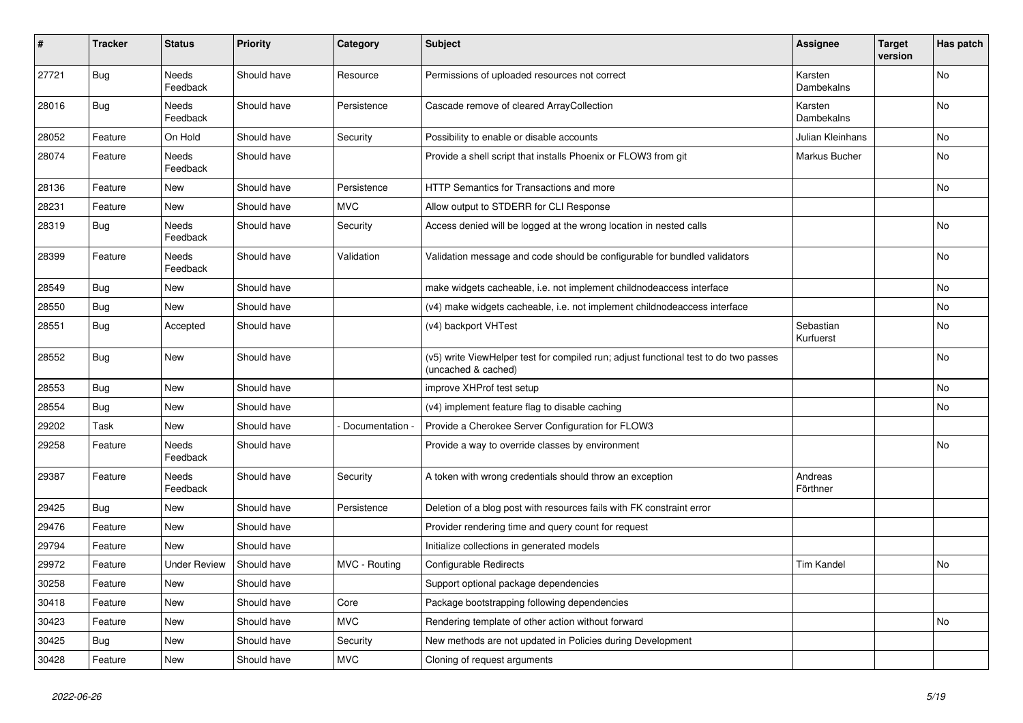| #     | <b>Tracker</b> | <b>Status</b>       | <b>Priority</b> | Category      | <b>Subject</b>                                                                                              | <b>Assignee</b>        | <b>Target</b><br>version | Has patch      |
|-------|----------------|---------------------|-----------------|---------------|-------------------------------------------------------------------------------------------------------------|------------------------|--------------------------|----------------|
| 27721 | <b>Bug</b>     | Needs<br>Feedback   | Should have     | Resource      | Permissions of uploaded resources not correct                                                               | Karsten<br>Dambekalns  |                          | N <sub>o</sub> |
| 28016 | <b>Bug</b>     | Needs<br>Feedback   | Should have     | Persistence   | Cascade remove of cleared ArrayCollection                                                                   | Karsten<br>Dambekalns  |                          | No             |
| 28052 | Feature        | On Hold             | Should have     | Security      | Possibility to enable or disable accounts                                                                   | Julian Kleinhans       |                          | No             |
| 28074 | Feature        | Needs<br>Feedback   | Should have     |               | Provide a shell script that installs Phoenix or FLOW3 from git                                              | Markus Bucher          |                          | No             |
| 28136 | Feature        | New                 | Should have     | Persistence   | <b>HTTP Semantics for Transactions and more</b>                                                             |                        |                          | <b>No</b>      |
| 28231 | Feature        | New                 | Should have     | <b>MVC</b>    | Allow output to STDERR for CLI Response                                                                     |                        |                          |                |
| 28319 | <b>Bug</b>     | Needs<br>Feedback   | Should have     | Security      | Access denied will be logged at the wrong location in nested calls                                          |                        |                          | No             |
| 28399 | Feature        | Needs<br>Feedback   | Should have     | Validation    | Validation message and code should be configurable for bundled validators                                   |                        |                          | <b>No</b>      |
| 28549 | <b>Bug</b>     | New                 | Should have     |               | make widgets cacheable, i.e. not implement childnodeaccess interface                                        |                        |                          | No.            |
| 28550 | <b>Bug</b>     | New                 | Should have     |               | (v4) make widgets cacheable, i.e. not implement childnodeaccess interface                                   |                        |                          | No             |
| 28551 | Bug            | Accepted            | Should have     |               | (v4) backport VHTest                                                                                        | Sebastian<br>Kurfuerst |                          | No             |
| 28552 | <b>Bug</b>     | New                 | Should have     |               | (v5) write ViewHelper test for compiled run; adjust functional test to do two passes<br>(uncached & cached) |                        |                          | No             |
| 28553 | <b>Bug</b>     | New                 | Should have     |               | improve XHProf test setup                                                                                   |                        |                          | No             |
| 28554 | <b>Bug</b>     | New                 | Should have     |               | (v4) implement feature flag to disable caching                                                              |                        |                          | No.            |
| 29202 | Task           | New                 | Should have     | Documentation | Provide a Cherokee Server Configuration for FLOW3                                                           |                        |                          |                |
| 29258 | Feature        | Needs<br>Feedback   | Should have     |               | Provide a way to override classes by environment                                                            |                        |                          | No             |
| 29387 | Feature        | Needs<br>Feedback   | Should have     | Security      | A token with wrong credentials should throw an exception                                                    | Andreas<br>Förthner    |                          |                |
| 29425 | <b>Bug</b>     | New                 | Should have     | Persistence   | Deletion of a blog post with resources fails with FK constraint error                                       |                        |                          |                |
| 29476 | Feature        | New                 | Should have     |               | Provider rendering time and query count for request                                                         |                        |                          |                |
| 29794 | Feature        | <b>New</b>          | Should have     |               | Initialize collections in generated models                                                                  |                        |                          |                |
| 29972 | Feature        | <b>Under Review</b> | Should have     | MVC - Routing | <b>Configurable Redirects</b>                                                                               | <b>Tim Kandel</b>      |                          | <b>No</b>      |
| 30258 | Feature        | <b>New</b>          | Should have     |               | Support optional package dependencies                                                                       |                        |                          |                |
| 30418 | Feature        | New                 | Should have     | Core          | Package bootstrapping following dependencies                                                                |                        |                          |                |
| 30423 | Feature        | New                 | Should have     | <b>MVC</b>    | Rendering template of other action without forward                                                          |                        |                          | <b>No</b>      |
| 30425 | Bug            | New                 | Should have     | Security      | New methods are not updated in Policies during Development                                                  |                        |                          |                |
| 30428 | Feature        | New                 | Should have     | <b>MVC</b>    | Cloning of request arguments                                                                                |                        |                          |                |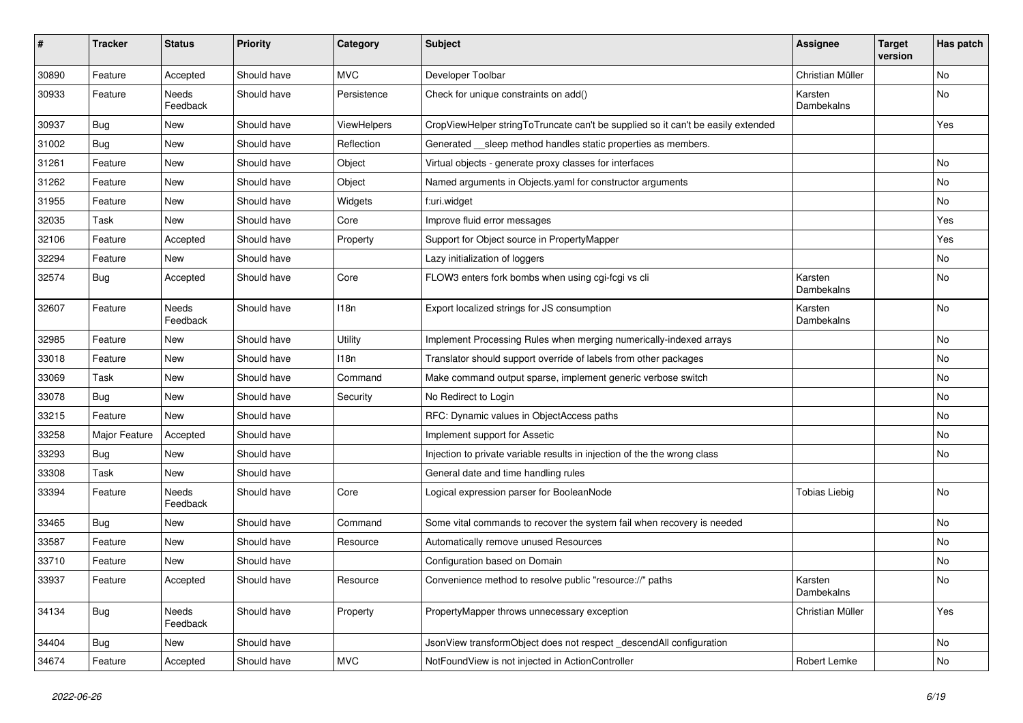| #     | <b>Tracker</b> | <b>Status</b>     | <b>Priority</b> | Category    | <b>Subject</b>                                                                   | <b>Assignee</b>       | <b>Target</b><br>version | Has patch |
|-------|----------------|-------------------|-----------------|-------------|----------------------------------------------------------------------------------|-----------------------|--------------------------|-----------|
| 30890 | Feature        | Accepted          | Should have     | <b>MVC</b>  | Developer Toolbar                                                                | Christian Müller      |                          | No        |
| 30933 | Feature        | Needs<br>Feedback | Should have     | Persistence | Check for unique constraints on add()                                            | Karsten<br>Dambekalns |                          | No        |
| 30937 | Bug            | New               | Should have     | ViewHelpers | CropViewHelper stringToTruncate can't be supplied so it can't be easily extended |                       |                          | Yes       |
| 31002 | Bug            | New               | Should have     | Reflection  | Generated sleep method handles static properties as members.                     |                       |                          |           |
| 31261 | Feature        | New               | Should have     | Object      | Virtual objects - generate proxy classes for interfaces                          |                       |                          | No        |
| 31262 | Feature        | New               | Should have     | Object      | Named arguments in Objects.yaml for constructor arguments                        |                       |                          | No        |
| 31955 | Feature        | New               | Should have     | Widgets     | f:uri.widget                                                                     |                       |                          | No        |
| 32035 | Task           | New               | Should have     | Core        | Improve fluid error messages                                                     |                       |                          | Yes       |
| 32106 | Feature        | Accepted          | Should have     | Property    | Support for Object source in PropertyMapper                                      |                       |                          | Yes       |
| 32294 | Feature        | New               | Should have     |             | Lazy initialization of loggers                                                   |                       |                          | No        |
| 32574 | <b>Bug</b>     | Accepted          | Should have     | Core        | FLOW3 enters fork bombs when using cgi-fcgi vs cli                               | Karsten<br>Dambekalns |                          | No        |
| 32607 | Feature        | Needs<br>Feedback | Should have     | 118n        | Export localized strings for JS consumption                                      | Karsten<br>Dambekalns |                          | No        |
| 32985 | Feature        | New               | Should have     | Utility     | Implement Processing Rules when merging numerically-indexed arrays               |                       |                          | No        |
| 33018 | Feature        | New               | Should have     | 118n        | Translator should support override of labels from other packages                 |                       |                          | No        |
| 33069 | Task           | New               | Should have     | Command     | Make command output sparse, implement generic verbose switch                     |                       |                          | No        |
| 33078 | <b>Bug</b>     | New               | Should have     | Security    | No Redirect to Login                                                             |                       |                          | No        |
| 33215 | Feature        | New               | Should have     |             | RFC: Dynamic values in ObjectAccess paths                                        |                       |                          | No        |
| 33258 | Major Feature  | Accepted          | Should have     |             | Implement support for Assetic                                                    |                       |                          | No        |
| 33293 | Bug            | <b>New</b>        | Should have     |             | Injection to private variable results in injection of the the wrong class        |                       |                          | No        |
| 33308 | Task           | New               | Should have     |             | General date and time handling rules                                             |                       |                          |           |
| 33394 | Feature        | Needs<br>Feedback | Should have     | Core        | Logical expression parser for BooleanNode                                        | <b>Tobias Liebig</b>  |                          | No        |
| 33465 | <b>Bug</b>     | New               | Should have     | Command     | Some vital commands to recover the system fail when recovery is needed           |                       |                          | No        |
| 33587 | Feature        | New               | Should have     | Resource    | Automatically remove unused Resources                                            |                       |                          | No        |
| 33710 | Feature        | New               | Should have     |             | Configuration based on Domain                                                    |                       |                          | No        |
| 33937 | Feature        | Accepted          | Should have     | Resource    | Convenience method to resolve public "resource://" paths                         | Karsten<br>Dambekalns |                          | NO.       |
| 34134 | Bug            | Needs<br>Feedback | Should have     | Property    | PropertyMapper throws unnecessary exception                                      | Christian Müller      |                          | Yes       |
| 34404 | <b>Bug</b>     | New               | Should have     |             | JsonView transformObject does not respect _descendAll configuration              |                       |                          | No        |
| 34674 | Feature        | Accepted          | Should have     | <b>MVC</b>  | NotFoundView is not injected in ActionController                                 | Robert Lemke          |                          | No        |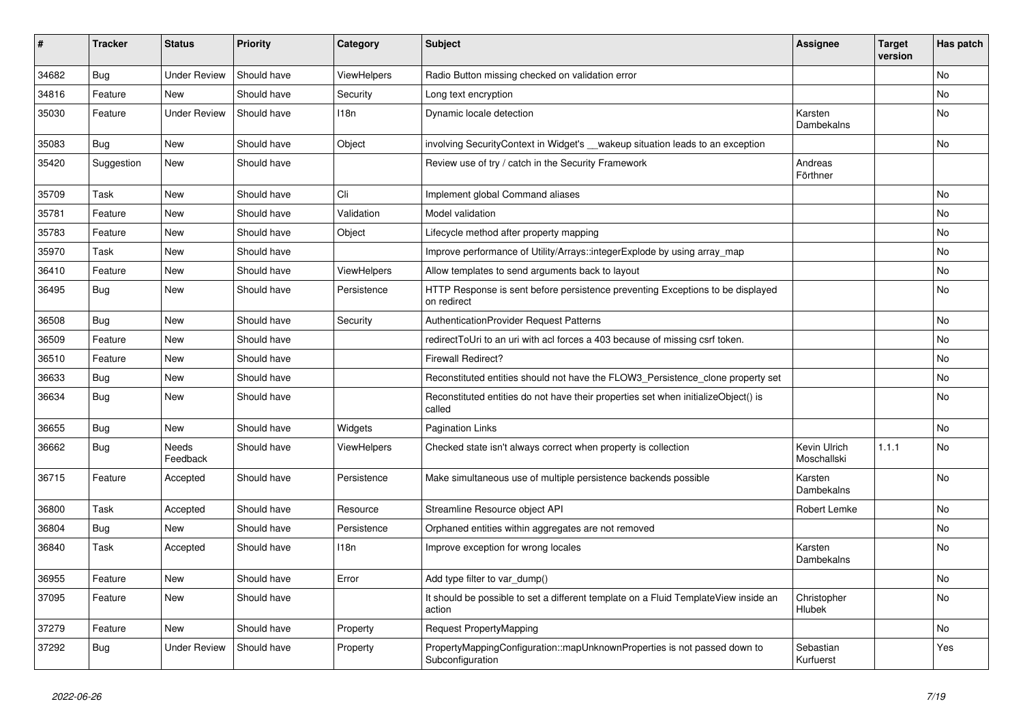| $\vert$ # | <b>Tracker</b> | <b>Status</b>       | <b>Priority</b> | Category           | <b>Subject</b>                                                                                | <b>Assignee</b>             | <b>Target</b><br>version | Has patch      |
|-----------|----------------|---------------------|-----------------|--------------------|-----------------------------------------------------------------------------------------------|-----------------------------|--------------------------|----------------|
| 34682     | Bug            | <b>Under Review</b> | Should have     | ViewHelpers        | Radio Button missing checked on validation error                                              |                             |                          | N <sub>o</sub> |
| 34816     | Feature        | New                 | Should have     | Security           | Long text encryption                                                                          |                             |                          | No             |
| 35030     | Feature        | <b>Under Review</b> | Should have     | 118n               | Dynamic locale detection                                                                      | Karsten<br>Dambekalns       |                          | No             |
| 35083     | <b>Bug</b>     | New                 | Should have     | Object             | involving SecurityContext in Widget's __wakeup situation leads to an exception                |                             |                          | <b>No</b>      |
| 35420     | Suggestion     | New                 | Should have     |                    | Review use of try / catch in the Security Framework                                           | Andreas<br>Förthner         |                          |                |
| 35709     | Task           | New                 | Should have     | Cli                | Implement global Command aliases                                                              |                             |                          | No.            |
| 35781     | Feature        | New                 | Should have     | Validation         | Model validation                                                                              |                             |                          | No             |
| 35783     | Feature        | New                 | Should have     | Object             | Lifecycle method after property mapping                                                       |                             |                          | No             |
| 35970     | Task           | New                 | Should have     |                    | Improve performance of Utility/Arrays::integerExplode by using array_map                      |                             |                          | No             |
| 36410     | Feature        | New                 | Should have     | ViewHelpers        | Allow templates to send arguments back to layout                                              |                             |                          | No             |
| 36495     | Bug            | New                 | Should have     | Persistence        | HTTP Response is sent before persistence preventing Exceptions to be displayed<br>on redirect |                             |                          | No             |
| 36508     | <b>Bug</b>     | <b>New</b>          | Should have     | Security           | <b>AuthenticationProvider Request Patterns</b>                                                |                             |                          | No.            |
| 36509     | Feature        | New                 | Should have     |                    | redirectToUri to an uri with acl forces a 403 because of missing csrf token.                  |                             |                          | No.            |
| 36510     | Feature        | New                 | Should have     |                    | <b>Firewall Redirect?</b>                                                                     |                             |                          | No             |
| 36633     | Bug            | New                 | Should have     |                    | Reconstituted entities should not have the FLOW3 Persistence clone property set               |                             |                          | No             |
| 36634     | Bug            | New                 | Should have     |                    | Reconstituted entities do not have their properties set when initializeObject() is<br>called  |                             |                          | <b>No</b>      |
| 36655     | <b>Bug</b>     | New                 | Should have     | Widgets            | <b>Pagination Links</b>                                                                       |                             |                          | No             |
| 36662     | <b>Bug</b>     | Needs<br>Feedback   | Should have     | <b>ViewHelpers</b> | Checked state isn't always correct when property is collection                                | Kevin Ulrich<br>Moschallski | 1.1.1                    | No             |
| 36715     | Feature        | Accepted            | Should have     | Persistence        | Make simultaneous use of multiple persistence backends possible                               | Karsten<br>Dambekalns       |                          | No             |
| 36800     | Task           | Accepted            | Should have     | Resource           | Streamline Resource object API                                                                | Robert Lemke                |                          | No.            |
| 36804     | Bug            | New                 | Should have     | Persistence        | Orphaned entities within aggregates are not removed                                           |                             |                          | No             |
| 36840     | Task           | Accepted            | Should have     | 118n               | Improve exception for wrong locales                                                           | Karsten<br>Dambekalns       |                          | No             |
| 36955     | Feature        | New                 | Should have     | Error              | Add type filter to var_dump()                                                                 |                             |                          | No             |
| 37095     | Feature        | New                 | Should have     |                    | It should be possible to set a different template on a Fluid TemplateView inside an<br>action | Christopher<br>Hlubek       |                          | No             |
| 37279     | Feature        | New                 | Should have     | Property           | Request PropertyMapping                                                                       |                             |                          | No             |
| 37292     | Bug            | Under Review        | Should have     | Property           | PropertyMappingConfiguration::mapUnknownProperties is not passed down to<br>Subconfiguration  | Sebastian<br>Kurfuerst      |                          | Yes            |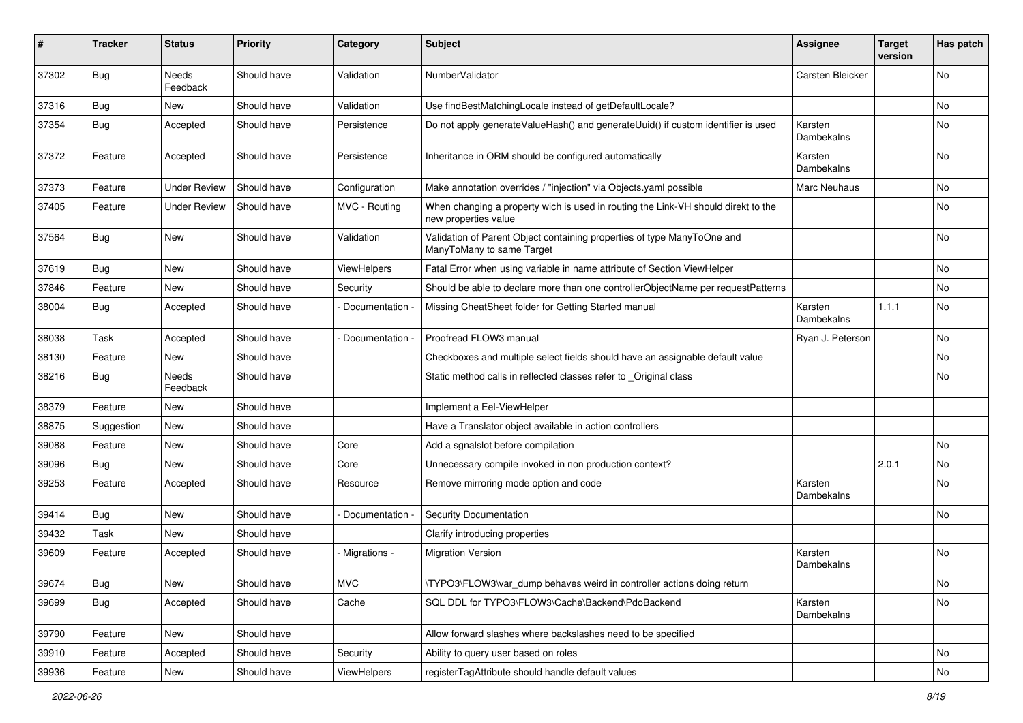| #     | <b>Tracker</b> | <b>Status</b>       | <b>Priority</b> | Category           | Subject                                                                                                   | <b>Assignee</b>       | <b>Target</b><br>version | Has patch |
|-------|----------------|---------------------|-----------------|--------------------|-----------------------------------------------------------------------------------------------------------|-----------------------|--------------------------|-----------|
| 37302 | Bug            | Needs<br>Feedback   | Should have     | Validation         | NumberValidator                                                                                           | Carsten Bleicker      |                          | <b>No</b> |
| 37316 | <b>Bug</b>     | New                 | Should have     | Validation         | Use findBestMatchingLocale instead of getDefaultLocale?                                                   |                       |                          | No        |
| 37354 | Bug            | Accepted            | Should have     | Persistence        | Do not apply generateValueHash() and generateUuid() if custom identifier is used                          | Karsten<br>Dambekalns |                          | No.       |
| 37372 | Feature        | Accepted            | Should have     | Persistence        | Inheritance in ORM should be configured automatically                                                     | Karsten<br>Dambekalns |                          | No.       |
| 37373 | Feature        | <b>Under Review</b> | Should have     | Configuration      | Make annotation overrides / "injection" via Objects.yaml possible                                         | Marc Neuhaus          |                          | No        |
| 37405 | Feature        | <b>Under Review</b> | Should have     | MVC - Routing      | When changing a property wich is used in routing the Link-VH should direkt to the<br>new properties value |                       |                          | No.       |
| 37564 | <b>Bug</b>     | New                 | Should have     | Validation         | Validation of Parent Object containing properties of type ManyToOne and<br>ManyToMany to same Target      |                       |                          | No.       |
| 37619 | <b>Bug</b>     | New                 | Should have     | <b>ViewHelpers</b> | Fatal Error when using variable in name attribute of Section ViewHelper                                   |                       |                          | No.       |
| 37846 | Feature        | New                 | Should have     | Security           | Should be able to declare more than one controllerObjectName per requestPatterns                          |                       |                          | No        |
| 38004 | <b>Bug</b>     | Accepted            | Should have     | Documentation -    | Missing CheatSheet folder for Getting Started manual                                                      | Karsten<br>Dambekalns | 1.1.1                    | <b>No</b> |
| 38038 | Task           | Accepted            | Should have     | Documentation -    | Proofread FLOW3 manual                                                                                    | Ryan J. Peterson      |                          | No.       |
| 38130 | Feature        | New                 | Should have     |                    | Checkboxes and multiple select fields should have an assignable default value                             |                       |                          | No        |
| 38216 | <b>Bug</b>     | Needs<br>Feedback   | Should have     |                    | Static method calls in reflected classes refer to _Original class                                         |                       |                          | No        |
| 38379 | Feature        | New                 | Should have     |                    | Implement a Eel-ViewHelper                                                                                |                       |                          |           |
| 38875 | Suggestion     | New                 | Should have     |                    | Have a Translator object available in action controllers                                                  |                       |                          |           |
| 39088 | Feature        | <b>New</b>          | Should have     | Core               | Add a sgnalslot before compilation                                                                        |                       |                          | <b>No</b> |
| 39096 | <b>Bug</b>     | New                 | Should have     | Core               | Unnecessary compile invoked in non production context?                                                    |                       | 2.0.1                    | No        |
| 39253 | Feature        | Accepted            | Should have     | Resource           | Remove mirroring mode option and code                                                                     | Karsten<br>Dambekalns |                          | No.       |
| 39414 | <b>Bug</b>     | New                 | Should have     | Documentation -    | Security Documentation                                                                                    |                       |                          | No.       |
| 39432 | Task           | New                 | Should have     |                    | Clarify introducing properties                                                                            |                       |                          |           |
| 39609 | Feature        | Accepted            | Should have     | Migrations -       | <b>Migration Version</b>                                                                                  | Karsten<br>Dambekalns |                          | No.       |
| 39674 | <b>Bug</b>     | New                 | Should have     | <b>MVC</b>         | \TYPO3\FLOW3\var_dump behaves weird in controller actions doing return                                    |                       |                          | No        |
| 39699 | <b>Bug</b>     | Accepted            | Should have     | Cache              | SQL DDL for TYPO3\FLOW3\Cache\Backend\PdoBackend                                                          | Karsten<br>Dambekalns |                          | No        |
| 39790 | Feature        | New                 | Should have     |                    | Allow forward slashes where backslashes need to be specified                                              |                       |                          |           |
| 39910 | Feature        | Accepted            | Should have     | Security           | Ability to query user based on roles                                                                      |                       |                          | No        |
| 39936 | Feature        | New                 | Should have     | <b>ViewHelpers</b> | registerTagAttribute should handle default values                                                         |                       |                          | No        |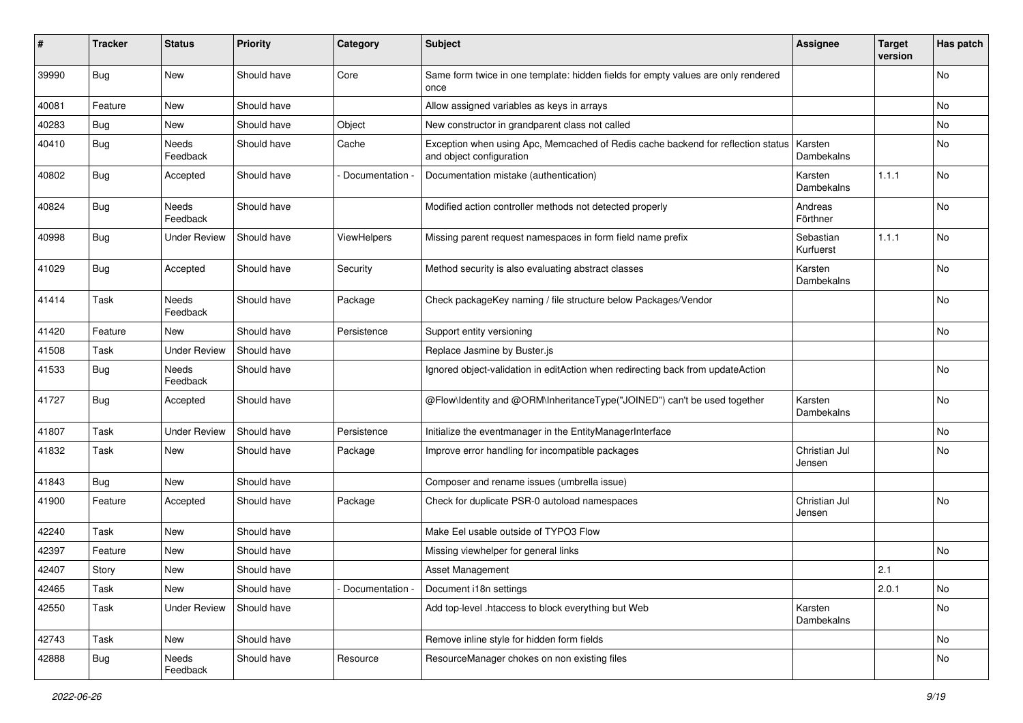| ∦     | <b>Tracker</b> | <b>Status</b>       | <b>Priority</b> | Category           | Subject                                                                                                      | <b>Assignee</b>         | <b>Target</b><br>version | Has patch |
|-------|----------------|---------------------|-----------------|--------------------|--------------------------------------------------------------------------------------------------------------|-------------------------|--------------------------|-----------|
| 39990 | <b>Bug</b>     | New                 | Should have     | Core               | Same form twice in one template: hidden fields for empty values are only rendered<br>once                    |                         |                          | No        |
| 40081 | Feature        | New                 | Should have     |                    | Allow assigned variables as keys in arrays                                                                   |                         |                          | No        |
| 40283 | <b>Bug</b>     | New                 | Should have     | Object             | New constructor in grandparent class not called                                                              |                         |                          | No        |
| 40410 | <b>Bug</b>     | Needs<br>Feedback   | Should have     | Cache              | Exception when using Apc, Memcached of Redis cache backend for reflection status<br>and object configuration | Karsten<br>Dambekalns   |                          | No        |
| 40802 | Bug            | Accepted            | Should have     | Documentation      | Documentation mistake (authentication)                                                                       | Karsten<br>Dambekalns   | 1.1.1                    | No        |
| 40824 | <b>Bug</b>     | Needs<br>Feedback   | Should have     |                    | Modified action controller methods not detected properly                                                     | Andreas<br>Förthner     |                          | No        |
| 40998 | Bug            | <b>Under Review</b> | Should have     | <b>ViewHelpers</b> | Missing parent request namespaces in form field name prefix                                                  | Sebastian<br>Kurfuerst  | 1.1.1                    | No        |
| 41029 | Bug            | Accepted            | Should have     | Security           | Method security is also evaluating abstract classes                                                          | Karsten<br>Dambekalns   |                          | No        |
| 41414 | Task           | Needs<br>Feedback   | Should have     | Package            | Check packageKey naming / file structure below Packages/Vendor                                               |                         |                          | No        |
| 41420 | Feature        | <b>New</b>          | Should have     | Persistence        | Support entity versioning                                                                                    |                         |                          | No.       |
| 41508 | Task           | <b>Under Review</b> | Should have     |                    | Replace Jasmine by Buster.js                                                                                 |                         |                          |           |
| 41533 | <b>Bug</b>     | Needs<br>Feedback   | Should have     |                    | Ignored object-validation in editAction when redirecting back from updateAction                              |                         |                          | No        |
| 41727 | Bug            | Accepted            | Should have     |                    | @Flow\Identity and @ORM\InheritanceType("JOINED") can't be used together                                     | Karsten<br>Dambekalns   |                          | No        |
| 41807 | Task           | <b>Under Review</b> | Should have     | Persistence        | Initialize the eventmanager in the EntityManagerInterface                                                    |                         |                          | No        |
| 41832 | Task           | New                 | Should have     | Package            | Improve error handling for incompatible packages                                                             | Christian Jul<br>Jensen |                          | No        |
| 41843 | Bug            | New                 | Should have     |                    | Composer and rename issues (umbrella issue)                                                                  |                         |                          |           |
| 41900 | Feature        | Accepted            | Should have     | Package            | Check for duplicate PSR-0 autoload namespaces                                                                | Christian Jul<br>Jensen |                          | No        |
| 42240 | Task           | New                 | Should have     |                    | Make Eel usable outside of TYPO3 Flow                                                                        |                         |                          |           |
| 42397 | Feature        | New                 | Should have     |                    | Missing viewhelper for general links                                                                         |                         |                          | <b>No</b> |
| 42407 | Story          | New                 | Should have     |                    | Asset Management                                                                                             |                         | 2.1                      |           |
| 42465 | Task           | New                 | Should have     | Documentation -    | Document i18n settings                                                                                       |                         | 2.0.1                    | No        |
| 42550 | Task           | <b>Under Review</b> | Should have     |                    | Add top-level .htaccess to block everything but Web                                                          | Karsten<br>Dambekalns   |                          | No        |
| 42743 | Task           | New                 | Should have     |                    | Remove inline style for hidden form fields                                                                   |                         |                          | No        |
| 42888 | <b>Bug</b>     | Needs<br>Feedback   | Should have     | Resource           | ResourceManager chokes on non existing files                                                                 |                         |                          | No        |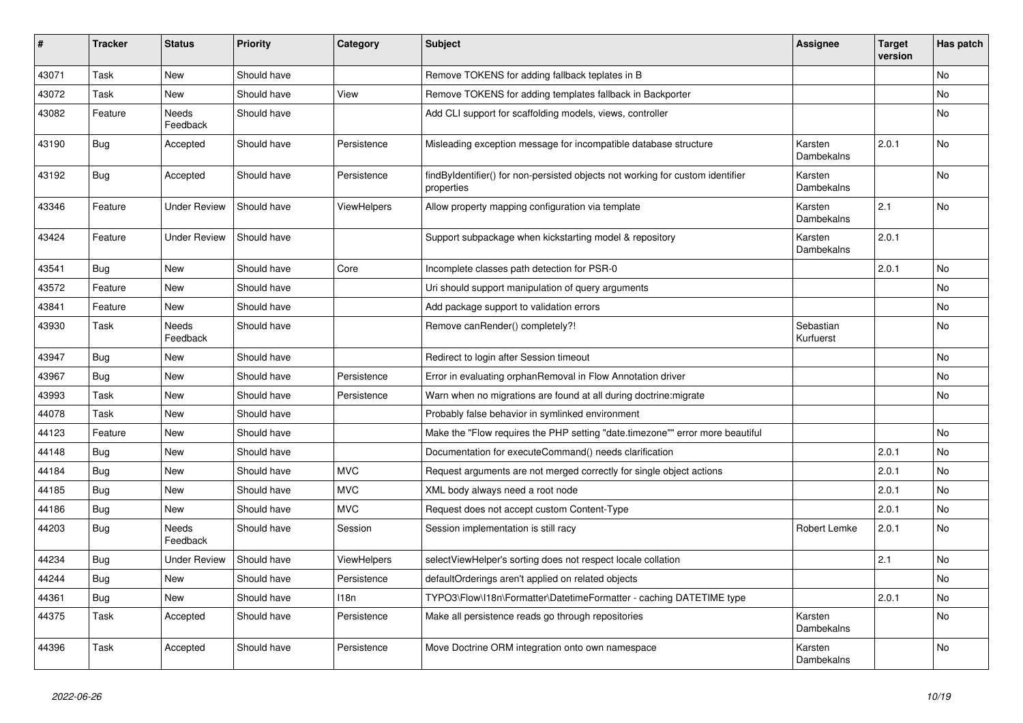| #     | <b>Tracker</b> | <b>Status</b>       | <b>Priority</b> | Category           | <b>Subject</b>                                                                               | <b>Assignee</b>        | <b>Target</b><br>version | Has patch      |
|-------|----------------|---------------------|-----------------|--------------------|----------------------------------------------------------------------------------------------|------------------------|--------------------------|----------------|
| 43071 | Task           | <b>New</b>          | Should have     |                    | Remove TOKENS for adding fallback teplates in B                                              |                        |                          | N <sub>o</sub> |
| 43072 | Task           | New                 | Should have     | View               | Remove TOKENS for adding templates fallback in Backporter                                    |                        |                          | No             |
| 43082 | Feature        | Needs<br>Feedback   | Should have     |                    | Add CLI support for scaffolding models, views, controller                                    |                        |                          | No             |
| 43190 | <b>Bug</b>     | Accepted            | Should have     | Persistence        | Misleading exception message for incompatible database structure                             | Karsten<br>Dambekalns  | 2.0.1                    | No             |
| 43192 | Bug            | Accepted            | Should have     | Persistence        | findByIdentifier() for non-persisted objects not working for custom identifier<br>properties | Karsten<br>Dambekalns  |                          | No             |
| 43346 | Feature        | <b>Under Review</b> | Should have     | <b>ViewHelpers</b> | Allow property mapping configuration via template                                            | Karsten<br>Dambekalns  | 2.1                      | No             |
| 43424 | Feature        | <b>Under Review</b> | Should have     |                    | Support subpackage when kickstarting model & repository                                      | Karsten<br>Dambekalns  | 2.0.1                    |                |
| 43541 | <b>Bug</b>     | <b>New</b>          | Should have     | Core               | Incomplete classes path detection for PSR-0                                                  |                        | 2.0.1                    | No             |
| 43572 | Feature        | New                 | Should have     |                    | Uri should support manipulation of query arguments                                           |                        |                          | No             |
| 43841 | Feature        | New                 | Should have     |                    | Add package support to validation errors                                                     |                        |                          | No             |
| 43930 | Task           | Needs<br>Feedback   | Should have     |                    | Remove canRender() completely?!                                                              | Sebastian<br>Kurfuerst |                          | No             |
| 43947 | Bug            | New                 | Should have     |                    | Redirect to login after Session timeout                                                      |                        |                          | No             |
| 43967 | Bug            | New                 | Should have     | Persistence        | Error in evaluating orphanRemoval in Flow Annotation driver                                  |                        |                          | No             |
| 43993 | Task           | <b>New</b>          | Should have     | Persistence        | Warn when no migrations are found at all during doctrine: migrate                            |                        |                          | No             |
| 44078 | Task           | <b>New</b>          | Should have     |                    | Probably false behavior in symlinked environment                                             |                        |                          |                |
| 44123 | Feature        | <b>New</b>          | Should have     |                    | Make the "Flow requires the PHP setting "date.timezone"" error more beautiful                |                        |                          | No             |
| 44148 | <b>Bug</b>     | New                 | Should have     |                    | Documentation for executeCommand() needs clarification                                       |                        | 2.0.1                    | No             |
| 44184 | <b>Bug</b>     | <b>New</b>          | Should have     | <b>MVC</b>         | Request arguments are not merged correctly for single object actions                         |                        | 2.0.1                    | No             |
| 44185 | <b>Bug</b>     | <b>New</b>          | Should have     | <b>MVC</b>         | XML body always need a root node                                                             |                        | 2.0.1                    | <b>No</b>      |
| 44186 | <b>Bug</b>     | New                 | Should have     | <b>MVC</b>         | Request does not accept custom Content-Type                                                  |                        | 2.0.1                    | No             |
| 44203 | <b>Bug</b>     | Needs<br>Feedback   | Should have     | Session            | Session implementation is still racy                                                         | Robert Lemke           | 2.0.1                    | No             |
| 44234 | Bug            | <b>Under Review</b> | Should have     | ViewHelpers        | selectViewHelper's sorting does not respect locale collation                                 |                        | 2.1                      | No             |
| 44244 | <b>Bug</b>     | New                 | Should have     | Persistence        | defaultOrderings aren't applied on related objects                                           |                        |                          | No             |
| 44361 | <b>Bug</b>     | New                 | Should have     | 118n               | TYPO3\Flow\I18n\Formatter\DatetimeFormatter - caching DATETIME type                          |                        | 2.0.1                    | No             |
| 44375 | Task           | Accepted            | Should have     | Persistence        | Make all persistence reads go through repositories                                           | Karsten<br>Dambekalns  |                          | No             |
| 44396 | Task           | Accepted            | Should have     | Persistence        | Move Doctrine ORM integration onto own namespace                                             | Karsten<br>Dambekalns  |                          | No             |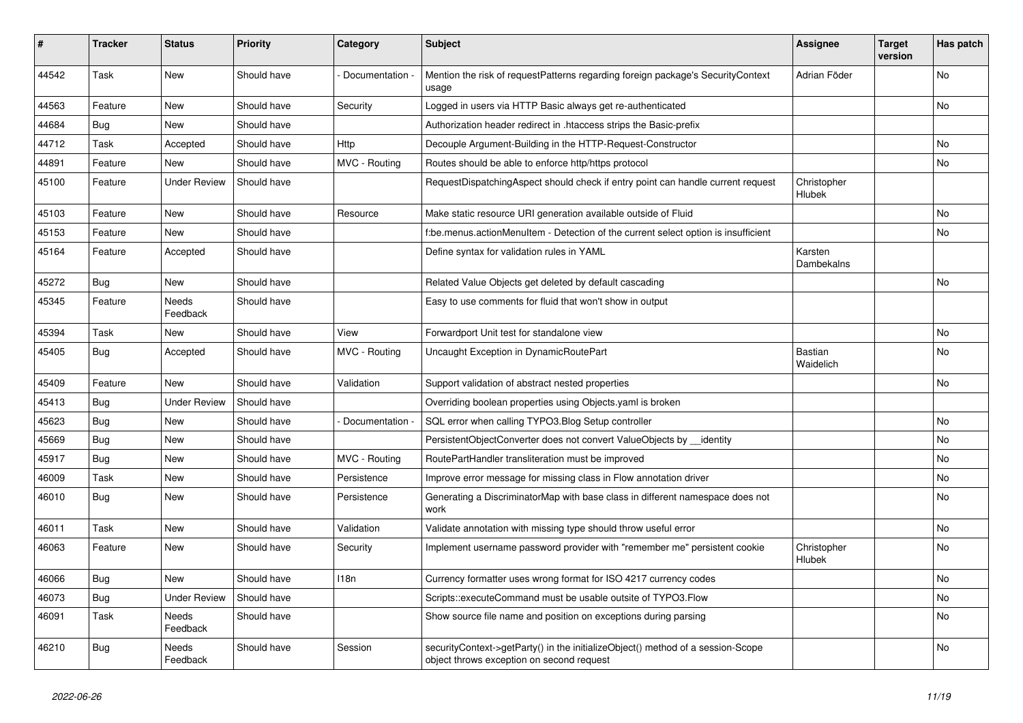| #     | <b>Tracker</b> | <b>Status</b>            | <b>Priority</b> | Category        | <b>Subject</b>                                                                                                               | <b>Assignee</b>       | <b>Target</b><br>version | Has patch      |
|-------|----------------|--------------------------|-----------------|-----------------|------------------------------------------------------------------------------------------------------------------------------|-----------------------|--------------------------|----------------|
| 44542 | Task           | <b>New</b>               | Should have     | Documentation - | Mention the risk of requestPatterns regarding foreign package's SecurityContext<br>usage                                     | Adrian Föder          |                          | N <sub>o</sub> |
| 44563 | Feature        | <b>New</b>               | Should have     | Security        | Logged in users via HTTP Basic always get re-authenticated                                                                   |                       |                          | No.            |
| 44684 | <b>Bug</b>     | <b>New</b>               | Should have     |                 | Authorization header redirect in .htaccess strips the Basic-prefix                                                           |                       |                          |                |
| 44712 | Task           | Accepted                 | Should have     | Http            | Decouple Argument-Building in the HTTP-Request-Constructor                                                                   |                       |                          | No.            |
| 44891 | Feature        | New                      | Should have     | MVC - Routing   | Routes should be able to enforce http/https protocol                                                                         |                       |                          | No             |
| 45100 | Feature        | <b>Under Review</b>      | Should have     |                 | RequestDispatchingAspect should check if entry point can handle current request                                              | Christopher<br>Hlubek |                          |                |
| 45103 | Feature        | New                      | Should have     | Resource        | Make static resource URI generation available outside of Fluid                                                               |                       |                          | No             |
| 45153 | Feature        | New                      | Should have     |                 | f:be.menus.actionMenuItem - Detection of the current select option is insufficient                                           |                       |                          | No             |
| 45164 | Feature        | Accepted                 | Should have     |                 | Define syntax for validation rules in YAML                                                                                   | Karsten<br>Dambekalns |                          |                |
| 45272 | Bug            | <b>New</b>               | Should have     |                 | Related Value Objects get deleted by default cascading                                                                       |                       |                          | No             |
| 45345 | Feature        | <b>Needs</b><br>Feedback | Should have     |                 | Easy to use comments for fluid that won't show in output                                                                     |                       |                          |                |
| 45394 | Task           | New                      | Should have     | View            | Forwardport Unit test for standalone view                                                                                    |                       |                          | No             |
| 45405 | <b>Bug</b>     | Accepted                 | Should have     | MVC - Routing   | Uncaught Exception in DynamicRoutePart                                                                                       | Bastian<br>Waidelich  |                          | No             |
| 45409 | Feature        | New                      | Should have     | Validation      | Support validation of abstract nested properties                                                                             |                       |                          | No.            |
| 45413 | <b>Bug</b>     | <b>Under Review</b>      | Should have     |                 | Overriding boolean properties using Objects yaml is broken                                                                   |                       |                          |                |
| 45623 | <b>Bug</b>     | New                      | Should have     | Documentation   | SQL error when calling TYPO3. Blog Setup controller                                                                          |                       |                          | No             |
| 45669 | <b>Bug</b>     | New                      | Should have     |                 | PersistentObjectConverter does not convert ValueObjects by identity                                                          |                       |                          | No             |
| 45917 | <b>Bug</b>     | New                      | Should have     | MVC - Routing   | RoutePartHandler transliteration must be improved                                                                            |                       |                          | No             |
| 46009 | Task           | New                      | Should have     | Persistence     | Improve error message for missing class in Flow annotation driver                                                            |                       |                          | No             |
| 46010 | Bug            | New                      | Should have     | Persistence     | Generating a DiscriminatorMap with base class in different namespace does not<br>work                                        |                       |                          | No             |
| 46011 | Task           | <b>New</b>               | Should have     | Validation      | Validate annotation with missing type should throw useful error                                                              |                       |                          | No             |
| 46063 | Feature        | New                      | Should have     | Security        | Implement username password provider with "remember me" persistent cookie                                                    | Christopher<br>Hlubek |                          | No             |
| 46066 | Bug            | New                      | Should have     | 118n            | Currency formatter uses wrong format for ISO 4217 currency codes                                                             |                       |                          | No             |
| 46073 | <b>Bug</b>     | <b>Under Review</b>      | Should have     |                 | Scripts::executeCommand must be usable outsite of TYPO3.Flow                                                                 |                       |                          | No             |
| 46091 | Task           | Needs<br>Feedback        | Should have     |                 | Show source file name and position on exceptions during parsing                                                              |                       |                          | No             |
| 46210 | <b>Bug</b>     | Needs<br>Feedback        | Should have     | Session         | securityContext->getParty() in the initializeObject() method of a session-Scope<br>object throws exception on second request |                       |                          | No             |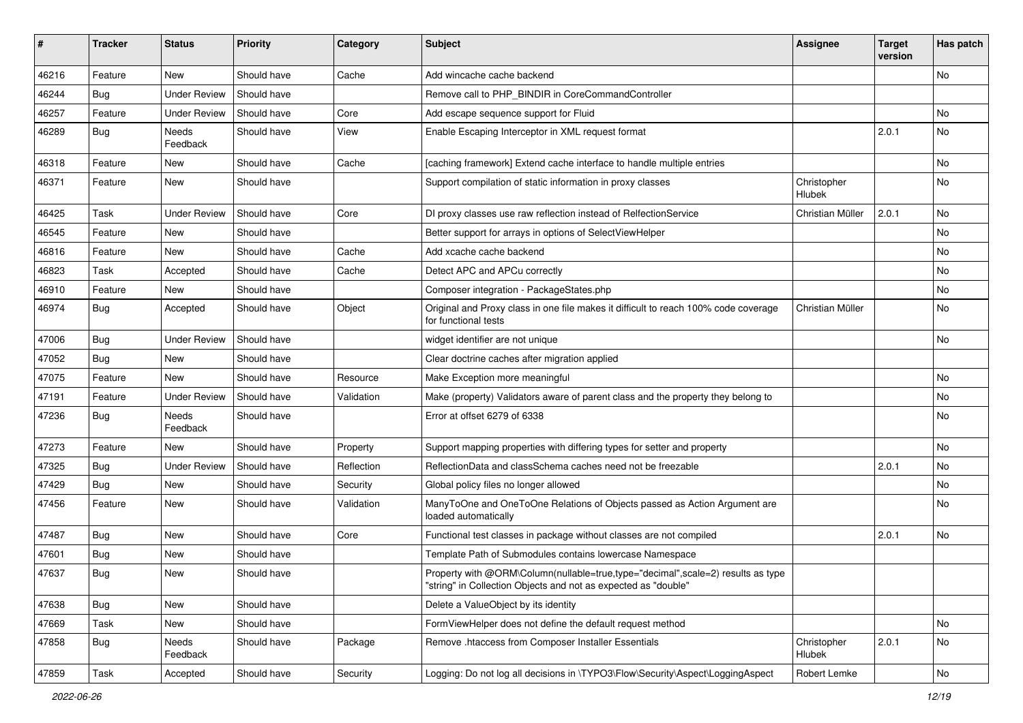| #     | <b>Tracker</b> | <b>Status</b>       | <b>Priority</b> | Category   | Subject                                                                                                                                           | <b>Assignee</b>       | <b>Target</b><br>version | Has patch |
|-------|----------------|---------------------|-----------------|------------|---------------------------------------------------------------------------------------------------------------------------------------------------|-----------------------|--------------------------|-----------|
| 46216 | Feature        | New                 | Should have     | Cache      | Add wincache cache backend                                                                                                                        |                       |                          | No        |
| 46244 | <b>Bug</b>     | <b>Under Review</b> | Should have     |            | Remove call to PHP_BINDIR in CoreCommandController                                                                                                |                       |                          |           |
| 46257 | Feature        | <b>Under Review</b> | Should have     | Core       | Add escape sequence support for Fluid                                                                                                             |                       |                          | No        |
| 46289 | Bug            | Needs<br>Feedback   | Should have     | View       | Enable Escaping Interceptor in XML request format                                                                                                 |                       | 2.0.1                    | No        |
| 46318 | Feature        | New                 | Should have     | Cache      | [caching framework] Extend cache interface to handle multiple entries                                                                             |                       |                          | <b>No</b> |
| 46371 | Feature        | New                 | Should have     |            | Support compilation of static information in proxy classes                                                                                        | Christopher<br>Hlubek |                          | No        |
| 46425 | Task           | <b>Under Review</b> | Should have     | Core       | DI proxy classes use raw reflection instead of RelfectionService                                                                                  | Christian Müller      | 2.0.1                    | No        |
| 46545 | Feature        | New                 | Should have     |            | Better support for arrays in options of SelectViewHelper                                                                                          |                       |                          | No        |
| 46816 | Feature        | New                 | Should have     | Cache      | Add xcache cache backend                                                                                                                          |                       |                          | No        |
| 46823 | Task           | Accepted            | Should have     | Cache      | Detect APC and APCu correctly                                                                                                                     |                       |                          | No        |
| 46910 | Feature        | New                 | Should have     |            | Composer integration - PackageStates.php                                                                                                          |                       |                          | No        |
| 46974 | <b>Bug</b>     | Accepted            | Should have     | Object     | Original and Proxy class in one file makes it difficult to reach 100% code coverage<br>for functional tests                                       | Christian Müller      |                          | <b>No</b> |
| 47006 | <b>Bug</b>     | <b>Under Review</b> | Should have     |            | widget identifier are not unique                                                                                                                  |                       |                          | <b>No</b> |
| 47052 | Bug            | New                 | Should have     |            | Clear doctrine caches after migration applied                                                                                                     |                       |                          |           |
| 47075 | Feature        | New                 | Should have     | Resource   | Make Exception more meaningful                                                                                                                    |                       |                          | <b>No</b> |
| 47191 | Feature        | <b>Under Review</b> | Should have     | Validation | Make (property) Validators aware of parent class and the property they belong to                                                                  |                       |                          | No        |
| 47236 | <b>Bug</b>     | Needs<br>Feedback   | Should have     |            | Error at offset 6279 of 6338                                                                                                                      |                       |                          | No        |
| 47273 | Feature        | New                 | Should have     | Property   | Support mapping properties with differing types for setter and property                                                                           |                       |                          | <b>No</b> |
| 47325 | <b>Bug</b>     | <b>Under Review</b> | Should have     | Reflection | ReflectionData and classSchema caches need not be freezable                                                                                       |                       | 2.0.1                    | No        |
| 47429 | <b>Bug</b>     | New                 | Should have     | Security   | Global policy files no longer allowed                                                                                                             |                       |                          | No        |
| 47456 | Feature        | New                 | Should have     | Validation | ManyToOne and OneToOne Relations of Objects passed as Action Argument are<br>loaded automatically                                                 |                       |                          | <b>No</b> |
| 47487 | <b>Bug</b>     | New                 | Should have     | Core       | Functional test classes in package without classes are not compiled                                                                               |                       | 2.0.1                    | No        |
| 47601 | <b>Bug</b>     | New                 | Should have     |            | Template Path of Submodules contains lowercase Namespace                                                                                          |                       |                          |           |
| 47637 | <b>Bug</b>     | New                 | Should have     |            | Property with @ORM\Column(nullable=true,type="decimal",scale=2) results as type<br>"string" in Collection Objects and not as expected as "double" |                       |                          |           |
| 47638 | <b>Bug</b>     | New                 | Should have     |            | Delete a ValueObject by its identity                                                                                                              |                       |                          |           |
| 47669 | Task           | New                 | Should have     |            | FormViewHelper does not define the default request method                                                                                         |                       |                          | No        |
| 47858 | <b>Bug</b>     | Needs<br>Feedback   | Should have     | Package    | Remove .htaccess from Composer Installer Essentials                                                                                               | Christopher<br>Hlubek | 2.0.1                    | No        |
| 47859 | Task           | Accepted            | Should have     | Security   | Logging: Do not log all decisions in \TYPO3\Flow\Security\Aspect\LoggingAspect                                                                    | Robert Lemke          |                          | No        |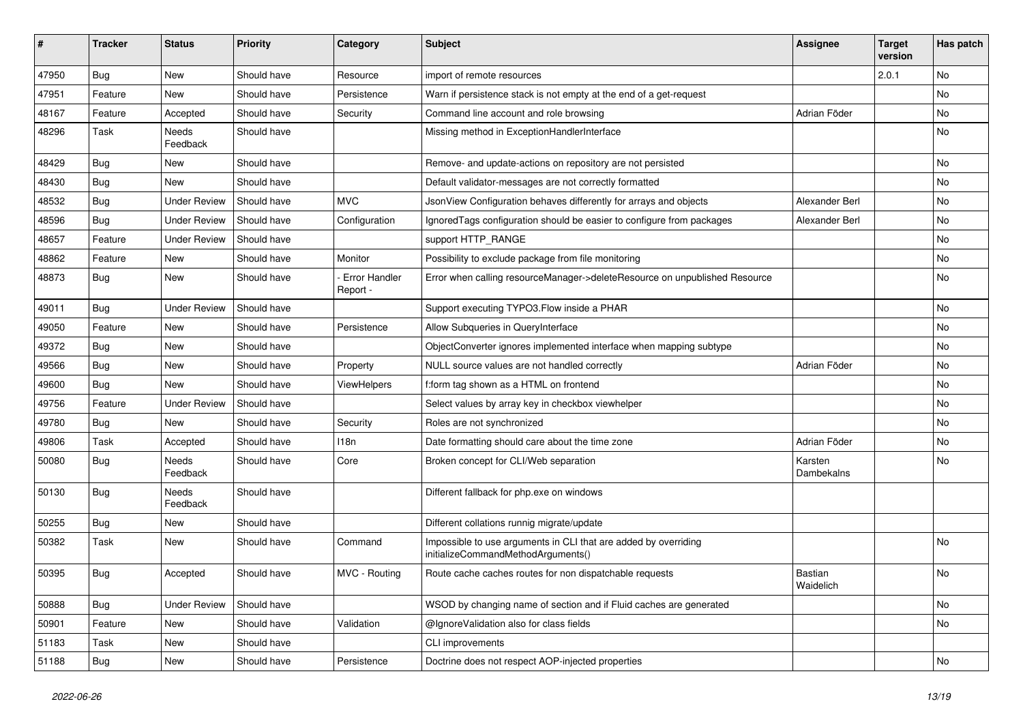| #     | <b>Tracker</b> | <b>Status</b>       | <b>Priority</b> | Category                         | <b>Subject</b>                                                                                        | <b>Assignee</b>             | <b>Target</b><br>version | Has patch |
|-------|----------------|---------------------|-----------------|----------------------------------|-------------------------------------------------------------------------------------------------------|-----------------------------|--------------------------|-----------|
| 47950 | Bug            | New                 | Should have     | Resource                         | import of remote resources                                                                            |                             | 2.0.1                    | No        |
| 47951 | Feature        | New                 | Should have     | Persistence                      | Warn if persistence stack is not empty at the end of a get-request                                    |                             |                          | No        |
| 48167 | Feature        | Accepted            | Should have     | Security                         | Command line account and role browsing                                                                | Adrian Föder                |                          | No        |
| 48296 | Task           | Needs<br>Feedback   | Should have     |                                  | Missing method in ExceptionHandlerInterface                                                           |                             |                          | No        |
| 48429 | Bug            | New                 | Should have     |                                  | Remove- and update-actions on repository are not persisted                                            |                             |                          | <b>No</b> |
| 48430 | <b>Bug</b>     | New                 | Should have     |                                  | Default validator-messages are not correctly formatted                                                |                             |                          | No        |
| 48532 | <b>Bug</b>     | <b>Under Review</b> | Should have     | <b>MVC</b>                       | JsonView Configuration behaves differently for arrays and objects                                     | Alexander Berl              |                          | <b>No</b> |
| 48596 | Bug            | <b>Under Review</b> | Should have     | Configuration                    | IgnoredTags configuration should be easier to configure from packages                                 | Alexander Berl              |                          | No        |
| 48657 | Feature        | Under Review        | Should have     |                                  | support HTTP RANGE                                                                                    |                             |                          | No        |
| 48862 | Feature        | New                 | Should have     | Monitor                          | Possibility to exclude package from file monitoring                                                   |                             |                          | <b>No</b> |
| 48873 | <b>Bug</b>     | New                 | Should have     | <b>Error Handler</b><br>Report - | Error when calling resourceManager->deleteResource on unpublished Resource                            |                             |                          | No        |
| 49011 | Bug            | <b>Under Review</b> | Should have     |                                  | Support executing TYPO3.Flow inside a PHAR                                                            |                             |                          | <b>No</b> |
| 49050 | Feature        | New                 | Should have     | Persistence                      | Allow Subqueries in QueryInterface                                                                    |                             |                          | No        |
| 49372 | <b>Bug</b>     | New                 | Should have     |                                  | ObjectConverter ignores implemented interface when mapping subtype                                    |                             |                          | No        |
| 49566 | Bug            | <b>New</b>          | Should have     | Property                         | NULL source values are not handled correctly                                                          | Adrian Föder                |                          | <b>No</b> |
| 49600 | <b>Bug</b>     | New                 | Should have     | <b>ViewHelpers</b>               | f:form tag shown as a HTML on frontend                                                                |                             |                          | No        |
| 49756 | Feature        | <b>Under Review</b> | Should have     |                                  | Select values by array key in checkbox viewhelper                                                     |                             |                          | <b>No</b> |
| 49780 | <b>Bug</b>     | New                 | Should have     | Security                         | Roles are not synchronized                                                                            |                             |                          | No        |
| 49806 | Task           | Accepted            | Should have     | 118n                             | Date formatting should care about the time zone                                                       | Adrian Föder                |                          | No        |
| 50080 | <b>Bug</b>     | Needs<br>Feedback   | Should have     | Core                             | Broken concept for CLI/Web separation                                                                 | Karsten<br>Dambekalns       |                          | No        |
| 50130 | <b>Bug</b>     | Needs<br>Feedback   | Should have     |                                  | Different fallback for php.exe on windows                                                             |                             |                          |           |
| 50255 | <b>Bug</b>     | New                 | Should have     |                                  | Different collations runnig migrate/update                                                            |                             |                          |           |
| 50382 | Task           | New                 | Should have     | Command                          | Impossible to use arguments in CLI that are added by overriding<br>initializeCommandMethodArguments() |                             |                          | <b>No</b> |
| 50395 | Bug            | Accepted            | Should have     | MVC - Routing                    | Route cache caches routes for non dispatchable requests                                               | <b>Bastian</b><br>Waidelich |                          | No        |
| 50888 | <b>Bug</b>     | <b>Under Review</b> | Should have     |                                  | WSOD by changing name of section and if Fluid caches are generated                                    |                             |                          | No        |
| 50901 | Feature        | New                 | Should have     | Validation                       | @IgnoreValidation also for class fields                                                               |                             |                          | No        |
| 51183 | Task           | New                 | Should have     |                                  | CLI improvements                                                                                      |                             |                          |           |
| 51188 | <b>Bug</b>     | New                 | Should have     | Persistence                      | Doctrine does not respect AOP-injected properties                                                     |                             |                          | No        |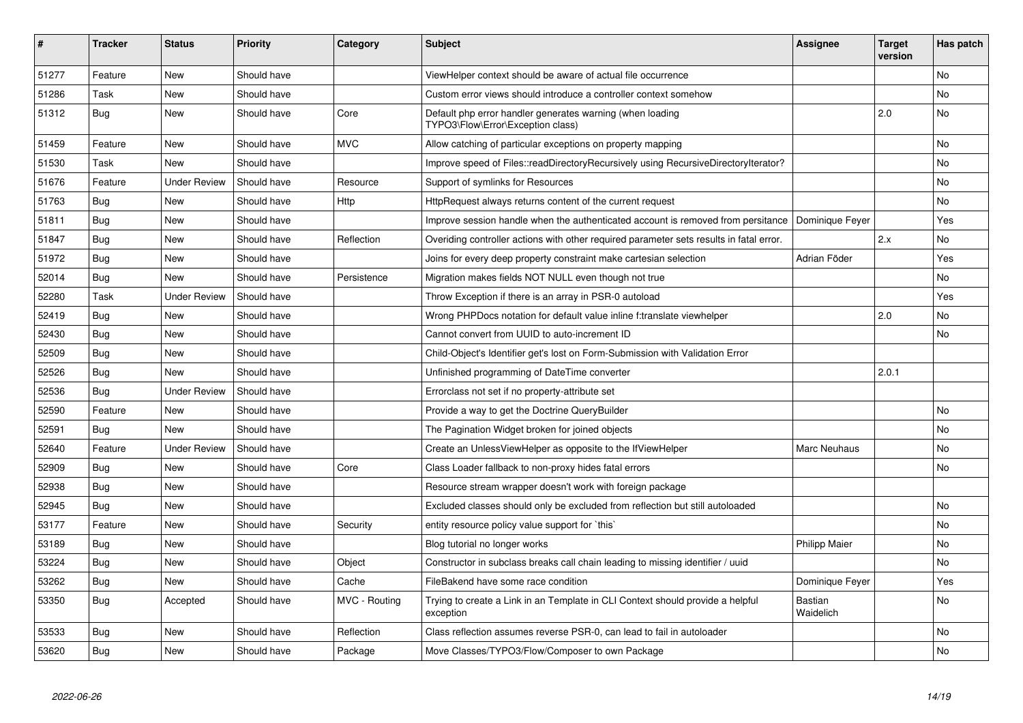| #     | <b>Tracker</b> | <b>Status</b>       | <b>Priority</b> | Category      | <b>Subject</b>                                                                                 | <b>Assignee</b>      | <b>Target</b><br>version | Has patch      |
|-------|----------------|---------------------|-----------------|---------------|------------------------------------------------------------------------------------------------|----------------------|--------------------------|----------------|
| 51277 | Feature        | New                 | Should have     |               | ViewHelper context should be aware of actual file occurrence                                   |                      |                          | N <sub>o</sub> |
| 51286 | Task           | New                 | Should have     |               | Custom error views should introduce a controller context somehow                               |                      |                          | No             |
| 51312 | Bug            | New                 | Should have     | Core          | Default php error handler generates warning (when loading<br>TYPO3\Flow\Error\Exception class) |                      | 2.0                      | No             |
| 51459 | Feature        | New                 | Should have     | <b>MVC</b>    | Allow catching of particular exceptions on property mapping                                    |                      |                          | No             |
| 51530 | Task           | New                 | Should have     |               | Improve speed of Files::readDirectoryRecursively using RecursiveDirectoryIterator?             |                      |                          | No             |
| 51676 | Feature        | <b>Under Review</b> | Should have     | Resource      | Support of symlinks for Resources                                                              |                      |                          | No             |
| 51763 | Bug            | New                 | Should have     | <b>Http</b>   | HttpRequest always returns content of the current request                                      |                      |                          | No.            |
| 51811 | Bug            | New                 | Should have     |               | Improve session handle when the authenticated account is removed from persitance               | Dominique Feyer      |                          | Yes            |
| 51847 | <b>Bug</b>     | <b>New</b>          | Should have     | Reflection    | Overiding controller actions with other required parameter sets results in fatal error.        |                      | 2.x                      | No             |
| 51972 | Bug            | New                 | Should have     |               | Joins for every deep property constraint make cartesian selection                              | Adrian Föder         |                          | Yes            |
| 52014 | Bug            | New                 | Should have     | Persistence   | Migration makes fields NOT NULL even though not true                                           |                      |                          | No.            |
| 52280 | Task           | <b>Under Review</b> | Should have     |               | Throw Exception if there is an array in PSR-0 autoload                                         |                      |                          | Yes            |
| 52419 | <b>Bug</b>     | <b>New</b>          | Should have     |               | Wrong PHPDocs notation for default value inline f:translate viewhelper                         |                      | 2.0                      | No             |
| 52430 | Bug            | New                 | Should have     |               | Cannot convert from UUID to auto-increment ID                                                  |                      |                          | No.            |
| 52509 | Bug            | New                 | Should have     |               | Child-Object's Identifier get's lost on Form-Submission with Validation Error                  |                      |                          |                |
| 52526 | Bug            | New                 | Should have     |               | Unfinished programming of DateTime converter                                                   |                      | 2.0.1                    |                |
| 52536 | <b>Bug</b>     | <b>Under Review</b> | Should have     |               | Errorclass not set if no property-attribute set                                                |                      |                          |                |
| 52590 | Feature        | New                 | Should have     |               | Provide a way to get the Doctrine QueryBuilder                                                 |                      |                          | No.            |
| 52591 | <b>Bug</b>     | New                 | Should have     |               | The Pagination Widget broken for joined objects                                                |                      |                          | No             |
| 52640 | Feature        | Under Review        | Should have     |               | Create an UnlessViewHelper as opposite to the IfViewHelper                                     | Marc Neuhaus         |                          | No             |
| 52909 | <b>Bug</b>     | <b>New</b>          | Should have     | Core          | Class Loader fallback to non-proxy hides fatal errors                                          |                      |                          | No.            |
| 52938 | Bug            | New                 | Should have     |               | Resource stream wrapper doesn't work with foreign package                                      |                      |                          |                |
| 52945 | Bug            | New                 | Should have     |               | Excluded classes should only be excluded from reflection but still autoloaded                  |                      |                          | No             |
| 53177 | Feature        | New                 | Should have     | Security      | entity resource policy value support for `this`                                                |                      |                          | No             |
| 53189 | <b>Bug</b>     | <b>New</b>          | Should have     |               | Blog tutorial no longer works                                                                  | <b>Philipp Maier</b> |                          | No.            |
| 53224 | <b>Bug</b>     | New                 | Should have     | Object        | Constructor in subclass breaks call chain leading to missing identifier / uuid                 |                      |                          | No             |
| 53262 | Bug            | New                 | Should have     | Cache         | FileBakend have some race condition                                                            | Dominique Feyer      |                          | Yes            |
| 53350 | <b>Bug</b>     | Accepted            | Should have     | MVC - Routing | Trying to create a Link in an Template in CLI Context should provide a helpful<br>exception    | Bastian<br>Waidelich |                          | No             |
| 53533 | <b>Bug</b>     | <b>New</b>          | Should have     | Reflection    | Class reflection assumes reverse PSR-0, can lead to fail in autoloader                         |                      |                          | No             |
| 53620 | <b>Bug</b>     | New                 | Should have     | Package       | Move Classes/TYPO3/Flow/Composer to own Package                                                |                      |                          | No             |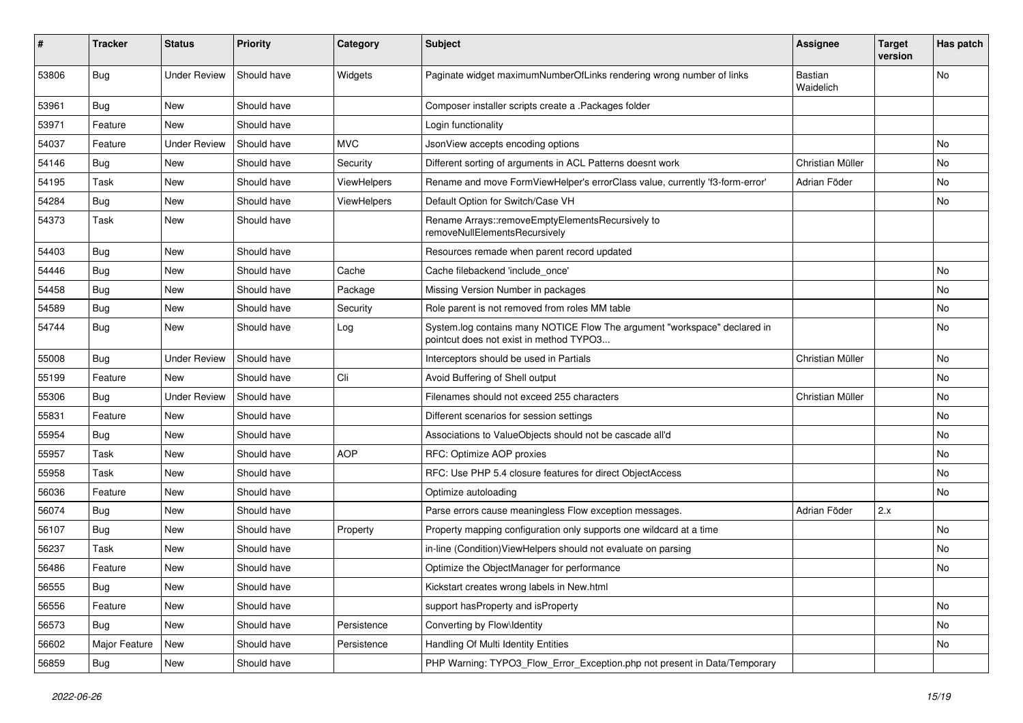| #     | <b>Tracker</b> | <b>Status</b>       | <b>Priority</b> | Category           | Subject                                                                                                              | <b>Assignee</b>             | <b>Target</b><br>version | Has patch |
|-------|----------------|---------------------|-----------------|--------------------|----------------------------------------------------------------------------------------------------------------------|-----------------------------|--------------------------|-----------|
| 53806 | Bug            | <b>Under Review</b> | Should have     | Widgets            | Paginate widget maximumNumberOfLinks rendering wrong number of links                                                 | <b>Bastian</b><br>Waidelich |                          | No        |
| 53961 | <b>Bug</b>     | New                 | Should have     |                    | Composer installer scripts create a .Packages folder                                                                 |                             |                          |           |
| 53971 | Feature        | <b>New</b>          | Should have     |                    | Login functionality                                                                                                  |                             |                          |           |
| 54037 | Feature        | <b>Under Review</b> | Should have     | <b>MVC</b>         | JsonView accepts encoding options                                                                                    |                             |                          | No        |
| 54146 | <b>Bug</b>     | <b>New</b>          | Should have     | Security           | Different sorting of arguments in ACL Patterns doesnt work                                                           | Christian Müller            |                          | No        |
| 54195 | Task           | New                 | Should have     | <b>ViewHelpers</b> | Rename and move FormViewHelper's errorClass value, currently 'f3-form-error'                                         | Adrian Föder                |                          | No        |
| 54284 | <b>Bug</b>     | New                 | Should have     | <b>ViewHelpers</b> | Default Option for Switch/Case VH                                                                                    |                             |                          | No        |
| 54373 | Task           | New                 | Should have     |                    | Rename Arrays::removeEmptyElementsRecursively to<br>removeNullElementsRecursively                                    |                             |                          |           |
| 54403 | Bug            | New                 | Should have     |                    | Resources remade when parent record updated                                                                          |                             |                          |           |
| 54446 | <b>Bug</b>     | <b>New</b>          | Should have     | Cache              | Cache filebackend 'include_once'                                                                                     |                             |                          | No        |
| 54458 | Bug            | New                 | Should have     | Package            | Missing Version Number in packages                                                                                   |                             |                          | No        |
| 54589 | Bug            | New                 | Should have     | Security           | Role parent is not removed from roles MM table                                                                       |                             |                          | No        |
| 54744 | <b>Bug</b>     | New                 | Should have     | Log                | System.log contains many NOTICE Flow The argument "workspace" declared in<br>pointcut does not exist in method TYPO3 |                             |                          | No        |
| 55008 | Bug            | <b>Under Review</b> | Should have     |                    | Interceptors should be used in Partials                                                                              | Christian Müller            |                          | No        |
| 55199 | Feature        | New                 | Should have     | Cli                | Avoid Buffering of Shell output                                                                                      |                             |                          | No        |
| 55306 | Bug            | <b>Under Review</b> | Should have     |                    | Filenames should not exceed 255 characters                                                                           | Christian Müller            |                          | No        |
| 55831 | Feature        | New                 | Should have     |                    | Different scenarios for session settings                                                                             |                             |                          | No        |
| 55954 | <b>Bug</b>     | New                 | Should have     |                    | Associations to ValueObjects should not be cascade all'd                                                             |                             |                          | No        |
| 55957 | Task           | New                 | Should have     | <b>AOP</b>         | RFC: Optimize AOP proxies                                                                                            |                             |                          | No        |
| 55958 | Task           | New                 | Should have     |                    | RFC: Use PHP 5.4 closure features for direct ObjectAccess                                                            |                             |                          | No        |
| 56036 | Feature        | New                 | Should have     |                    | Optimize autoloading                                                                                                 |                             |                          | No        |
| 56074 | <b>Bug</b>     | <b>New</b>          | Should have     |                    | Parse errors cause meaningless Flow exception messages.                                                              | Adrian Föder                | 2.x                      |           |
| 56107 | <b>Bug</b>     | New                 | Should have     | Property           | Property mapping configuration only supports one wildcard at a time                                                  |                             |                          | No        |
| 56237 | Task           | <b>New</b>          | Should have     |                    | in-line (Condition) View Helpers should not evaluate on parsing                                                      |                             |                          | No        |
| 56486 | Feature        | New                 | Should have     |                    | Optimize the ObjectManager for performance                                                                           |                             |                          | No        |
| 56555 | <b>Bug</b>     | New                 | Should have     |                    | Kickstart creates wrong labels in New.html                                                                           |                             |                          |           |
| 56556 | Feature        | New                 | Should have     |                    | support hasProperty and isProperty                                                                                   |                             |                          | No        |
| 56573 | Bug            | New                 | Should have     | Persistence        | Converting by Flow\Identity                                                                                          |                             |                          | No        |
| 56602 | Major Feature  | New                 | Should have     | Persistence        | Handling Of Multi Identity Entities                                                                                  |                             |                          | No        |
| 56859 | Bug            | New                 | Should have     |                    | PHP Warning: TYPO3_Flow_Error_Exception.php not present in Data/Temporary                                            |                             |                          |           |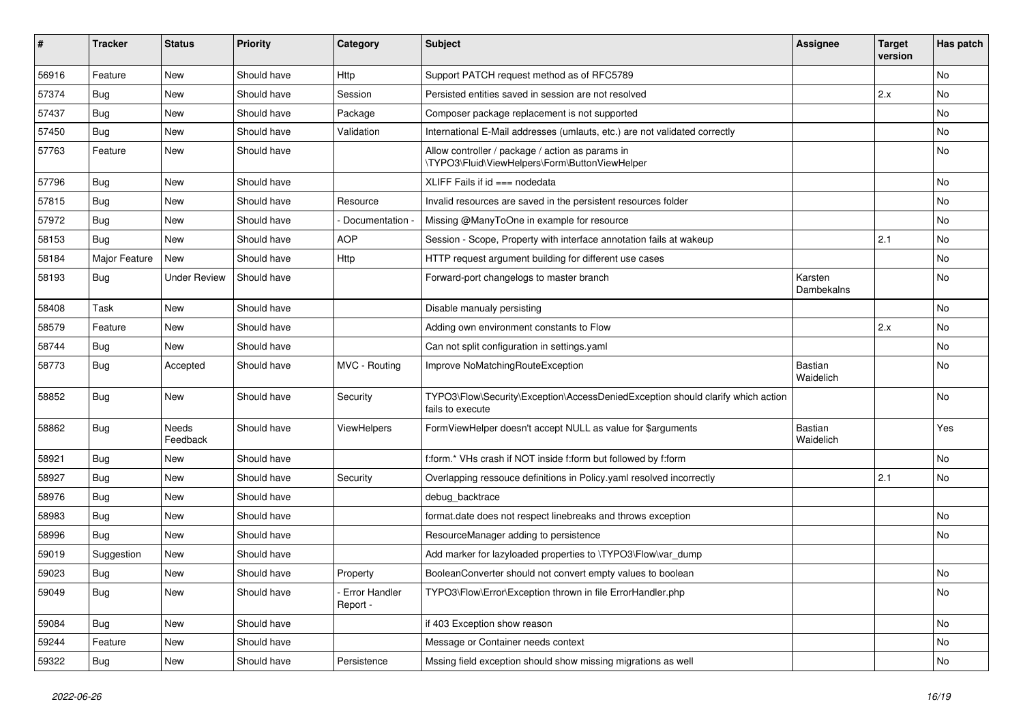| #     | <b>Tracker</b> | <b>Status</b>       | <b>Priority</b> | Category                  | Subject                                                                                             | <b>Assignee</b>       | <b>Target</b><br>version | Has patch |
|-------|----------------|---------------------|-----------------|---------------------------|-----------------------------------------------------------------------------------------------------|-----------------------|--------------------------|-----------|
| 56916 | Feature        | <b>New</b>          | Should have     | Http                      | Support PATCH request method as of RFC5789                                                          |                       |                          | No        |
| 57374 | <b>Bug</b>     | New                 | Should have     | Session                   | Persisted entities saved in session are not resolved                                                |                       | 2.x                      | No        |
| 57437 | Bug            | New                 | Should have     | Package                   | Composer package replacement is not supported                                                       |                       |                          | No        |
| 57450 | Bug            | New                 | Should have     | Validation                | International E-Mail addresses (umlauts, etc.) are not validated correctly                          |                       |                          | No        |
| 57763 | Feature        | New                 | Should have     |                           | Allow controller / package / action as params in<br>\TYPO3\Fluid\ViewHelpers\Form\ButtonViewHelper  |                       |                          | No        |
| 57796 | <b>Bug</b>     | New                 | Should have     |                           | XLIFF Fails if $id ==$ nodedata                                                                     |                       |                          | No        |
| 57815 | Bug            | New                 | Should have     | Resource                  | Invalid resources are saved in the persistent resources folder                                      |                       |                          | No        |
| 57972 | <b>Bug</b>     | New                 | Should have     | Documentation -           | Missing @ManyToOne in example for resource                                                          |                       |                          | No        |
| 58153 | <b>Bug</b>     | New                 | Should have     | <b>AOP</b>                | Session - Scope, Property with interface annotation fails at wakeup                                 |                       | 2.1                      | No        |
| 58184 | Major Feature  | New                 | Should have     | Http                      | HTTP request argument building for different use cases                                              |                       |                          | No.       |
| 58193 | Bug            | <b>Under Review</b> | Should have     |                           | Forward-port changelogs to master branch                                                            | Karsten<br>Dambekalns |                          | No        |
| 58408 | Task           | <b>New</b>          | Should have     |                           | Disable manualy persisting                                                                          |                       |                          | No        |
| 58579 | Feature        | New                 | Should have     |                           | Adding own environment constants to Flow                                                            |                       | 2.x                      | No        |
| 58744 | Bug            | New                 | Should have     |                           | Can not split configuration in settings.yaml                                                        |                       |                          | No        |
| 58773 | <b>Bug</b>     | Accepted            | Should have     | MVC - Routing             | Improve NoMatchingRouteException                                                                    | Bastian<br>Waidelich  |                          | No        |
| 58852 | <b>Bug</b>     | New                 | Should have     | Security                  | TYPO3\Flow\Security\Exception\AccessDeniedException should clarify which action<br>fails to execute |                       |                          | No        |
| 58862 | <b>Bug</b>     | Needs<br>Feedback   | Should have     | <b>ViewHelpers</b>        | FormViewHelper doesn't accept NULL as value for \$arguments                                         | Bastian<br>Waidelich  |                          | Yes       |
| 58921 | <b>Bug</b>     | New                 | Should have     |                           | f:form.* VHs crash if NOT inside f:form but followed by f:form                                      |                       |                          | No        |
| 58927 | Bug            | New                 | Should have     | Security                  | Overlapping ressouce definitions in Policy yaml resolved incorrectly                                |                       | 2.1                      | No        |
| 58976 | <b>Bug</b>     | <b>New</b>          | Should have     |                           | debug_backtrace                                                                                     |                       |                          |           |
| 58983 | <b>Bug</b>     | New                 | Should have     |                           | format.date does not respect linebreaks and throws exception                                        |                       |                          | No        |
| 58996 | Bug            | New                 | Should have     |                           | ResourceManager adding to persistence                                                               |                       |                          | No.       |
| 59019 | Suggestion     | New                 | Should have     |                           | Add marker for lazyloaded properties to \TYPO3\Flow\var dump                                        |                       |                          |           |
| 59023 | <b>Bug</b>     | New                 | Should have     | Property                  | BooleanConverter should not convert empty values to boolean                                         |                       |                          | No        |
| 59049 | <b>Bug</b>     | New                 | Should have     | Error Handler<br>Report - | TYPO3\Flow\Error\Exception thrown in file ErrorHandler.php                                          |                       |                          | No        |
| 59084 | <b>Bug</b>     | New                 | Should have     |                           | if 403 Exception show reason                                                                        |                       |                          | No        |
| 59244 | Feature        | New                 | Should have     |                           | Message or Container needs context                                                                  |                       |                          | No        |
| 59322 | <b>Bug</b>     | New                 | Should have     | Persistence               | Mssing field exception should show missing migrations as well                                       |                       |                          | No        |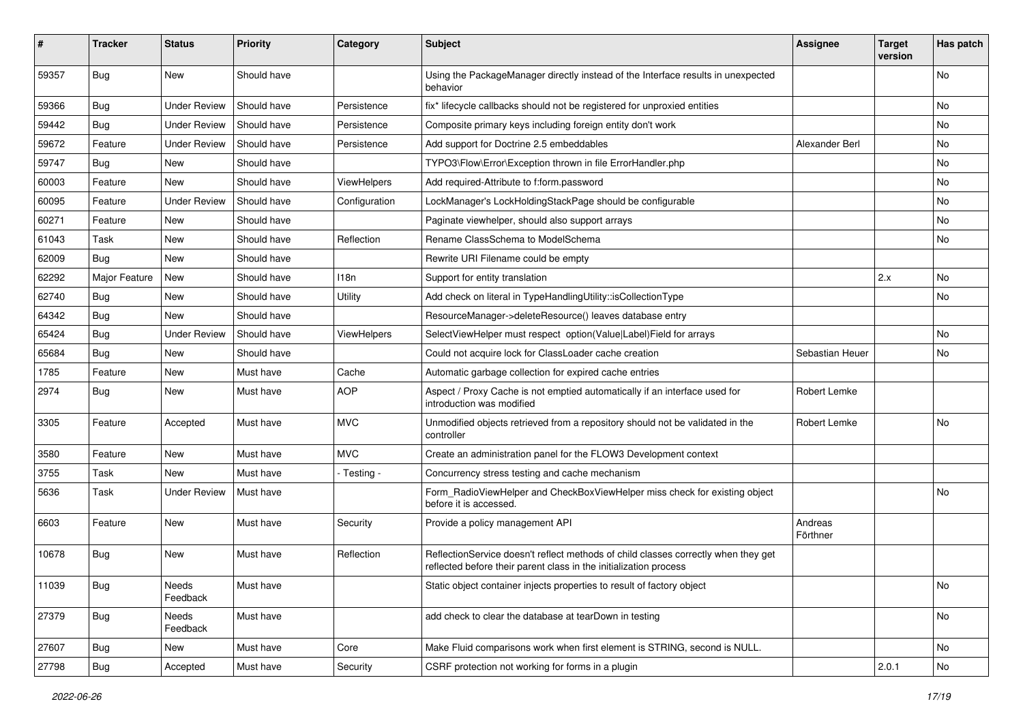| #     | <b>Tracker</b> | <b>Status</b>       | <b>Priority</b> | Category      | <b>Subject</b>                                                                                                                                          | <b>Assignee</b>     | <b>Target</b><br>version | Has patch |
|-------|----------------|---------------------|-----------------|---------------|---------------------------------------------------------------------------------------------------------------------------------------------------------|---------------------|--------------------------|-----------|
| 59357 | Bug            | New                 | Should have     |               | Using the PackageManager directly instead of the Interface results in unexpected<br>behavior                                                            |                     |                          | No        |
| 59366 | <b>Bug</b>     | <b>Under Review</b> | Should have     | Persistence   | fix* lifecycle callbacks should not be registered for unproxied entities                                                                                |                     |                          | No        |
| 59442 | Bug            | Under Review        | Should have     | Persistence   | Composite primary keys including foreign entity don't work                                                                                              |                     |                          | No        |
| 59672 | Feature        | <b>Under Review</b> | Should have     | Persistence   | Add support for Doctrine 2.5 embeddables                                                                                                                | Alexander Berl      |                          | No        |
| 59747 | <b>Bug</b>     | New                 | Should have     |               | TYPO3\Flow\Error\Exception thrown in file ErrorHandler.php                                                                                              |                     |                          | No        |
| 60003 | Feature        | New                 | Should have     | ViewHelpers   | Add required-Attribute to f:form.password                                                                                                               |                     |                          | No        |
| 60095 | Feature        | <b>Under Review</b> | Should have     | Configuration | LockManager's LockHoldingStackPage should be configurable                                                                                               |                     |                          | No.       |
| 60271 | Feature        | New                 | Should have     |               | Paginate viewhelper, should also support arrays                                                                                                         |                     |                          | No        |
| 61043 | Task           | New                 | Should have     | Reflection    | Rename ClassSchema to ModelSchema                                                                                                                       |                     |                          | No        |
| 62009 | <b>Bug</b>     | New                 | Should have     |               | Rewrite URI Filename could be empty                                                                                                                     |                     |                          |           |
| 62292 | Major Feature  | New                 | Should have     | 118n          | Support for entity translation                                                                                                                          |                     | 2.x                      | No        |
| 62740 | <b>Bug</b>     | New                 | Should have     | Utility       | Add check on literal in TypeHandlingUtility::isCollectionType                                                                                           |                     |                          | No        |
| 64342 | Bug            | New                 | Should have     |               | ResourceManager->deleteResource() leaves database entry                                                                                                 |                     |                          |           |
| 65424 | <b>Bug</b>     | <b>Under Review</b> | Should have     | ViewHelpers   | SelectViewHelper must respect option(Value Label)Field for arrays                                                                                       |                     |                          | No        |
| 65684 | <b>Bug</b>     | New                 | Should have     |               | Could not acquire lock for ClassLoader cache creation                                                                                                   | Sebastian Heuer     |                          | No        |
| 1785  | Feature        | New                 | Must have       | Cache         | Automatic garbage collection for expired cache entries                                                                                                  |                     |                          |           |
| 2974  | Bug            | New                 | Must have       | <b>AOP</b>    | Aspect / Proxy Cache is not emptied automatically if an interface used for<br>introduction was modified                                                 | Robert Lemke        |                          |           |
| 3305  | Feature        | Accepted            | Must have       | <b>MVC</b>    | Unmodified objects retrieved from a repository should not be validated in the<br>controller                                                             | Robert Lemke        |                          | No        |
| 3580  | Feature        | New                 | Must have       | <b>MVC</b>    | Create an administration panel for the FLOW3 Development context                                                                                        |                     |                          |           |
| 3755  | Task           | New                 | Must have       | - Testing -   | Concurrency stress testing and cache mechanism                                                                                                          |                     |                          |           |
| 5636  | Task           | <b>Under Review</b> | Must have       |               | Form RadioViewHelper and CheckBoxViewHelper miss check for existing object<br>before it is accessed.                                                    |                     |                          | No        |
| 6603  | Feature        | New                 | Must have       | Security      | Provide a policy management API                                                                                                                         | Andreas<br>Förthner |                          |           |
| 10678 | <b>Bug</b>     | New                 | Must have       | Reflection    | ReflectionService doesn't reflect methods of child classes correctly when they get<br>reflected before their parent class in the initialization process |                     |                          |           |
| 11039 | Bug            | Needs<br>Feedback   | Must have       |               | Static object container injects properties to result of factory object                                                                                  |                     |                          | No        |
| 27379 | <b>Bug</b>     | Needs<br>Feedback   | Must have       |               | add check to clear the database at tearDown in testing                                                                                                  |                     |                          | No        |
| 27607 | Bug            | New                 | Must have       | Core          | Make Fluid comparisons work when first element is STRING, second is NULL.                                                                               |                     |                          | No        |
| 27798 | Bug            | Accepted            | Must have       | Security      | CSRF protection not working for forms in a plugin                                                                                                       |                     | 2.0.1                    | No        |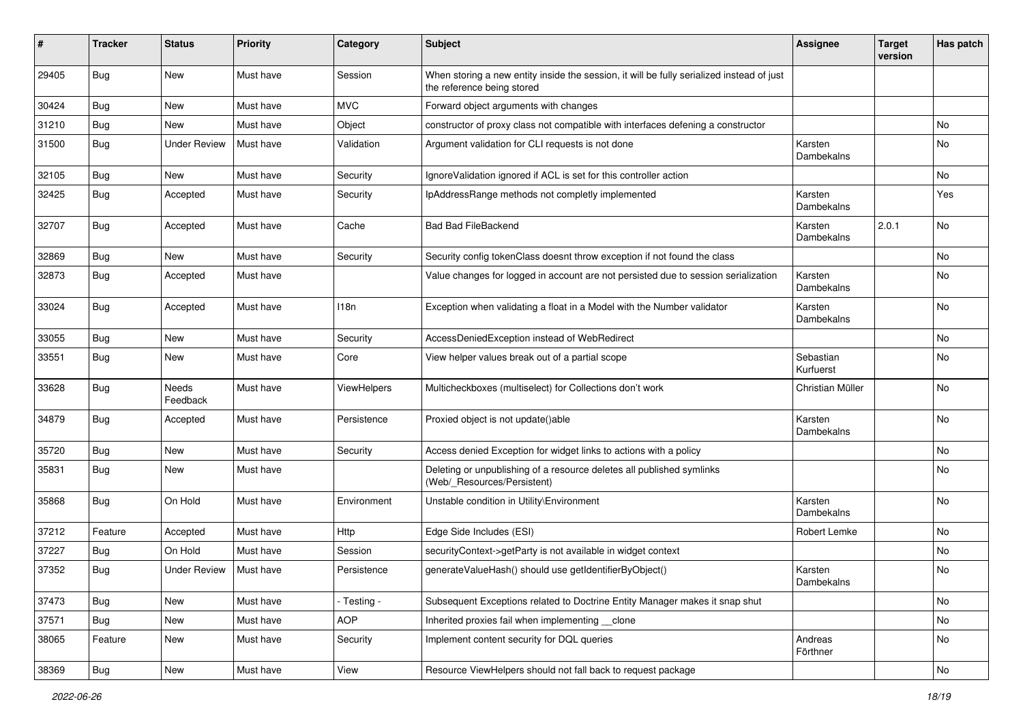| #     | <b>Tracker</b> | <b>Status</b>       | <b>Priority</b> | Category    | Subject                                                                                                                 | <b>Assignee</b>        | <b>Target</b><br>version | Has patch |
|-------|----------------|---------------------|-----------------|-------------|-------------------------------------------------------------------------------------------------------------------------|------------------------|--------------------------|-----------|
| 29405 | Bug            | <b>New</b>          | Must have       | Session     | When storing a new entity inside the session, it will be fully serialized instead of just<br>the reference being stored |                        |                          |           |
| 30424 | <b>Bug</b>     | New                 | Must have       | <b>MVC</b>  | Forward object arguments with changes                                                                                   |                        |                          |           |
| 31210 | Bug            | <b>New</b>          | Must have       | Object      | constructor of proxy class not compatible with interfaces defening a constructor                                        |                        |                          | No        |
| 31500 | <b>Bug</b>     | <b>Under Review</b> | Must have       | Validation  | Argument validation for CLI requests is not done                                                                        | Karsten<br>Dambekalns  |                          | <b>No</b> |
| 32105 | <b>Bug</b>     | <b>New</b>          | Must have       | Security    | IgnoreValidation ignored if ACL is set for this controller action                                                       |                        |                          | No        |
| 32425 | <b>Bug</b>     | Accepted            | Must have       | Security    | IpAddressRange methods not completly implemented                                                                        | Karsten<br>Dambekalns  |                          | Yes       |
| 32707 | <b>Bug</b>     | Accepted            | Must have       | Cache       | <b>Bad Bad FileBackend</b>                                                                                              | Karsten<br>Dambekalns  | 2.0.1                    | No        |
| 32869 | Bug            | <b>New</b>          | Must have       | Security    | Security config tokenClass doesnt throw exception if not found the class                                                |                        |                          | No        |
| 32873 | <b>Bug</b>     | Accepted            | Must have       |             | Value changes for logged in account are not persisted due to session serialization                                      | Karsten<br>Dambekalns  |                          | <b>No</b> |
| 33024 | <b>Bug</b>     | Accepted            | Must have       | 118n        | Exception when validating a float in a Model with the Number validator                                                  | Karsten<br>Dambekalns  |                          | <b>No</b> |
| 33055 | <b>Bug</b>     | New                 | Must have       | Security    | AccessDeniedException instead of WebRedirect                                                                            |                        |                          | No        |
| 33551 | <b>Bug</b>     | New                 | Must have       | Core        | View helper values break out of a partial scope                                                                         | Sebastian<br>Kurfuerst |                          | No        |
| 33628 | Bug            | Needs<br>Feedback   | Must have       | ViewHelpers | Multicheckboxes (multiselect) for Collections don't work                                                                | Christian Müller       |                          | <b>No</b> |
| 34879 | <b>Bug</b>     | Accepted            | Must have       | Persistence | Proxied object is not update()able                                                                                      | Karsten<br>Dambekalns  |                          | <b>No</b> |
| 35720 | Bug            | New                 | Must have       | Security    | Access denied Exception for widget links to actions with a policy                                                       |                        |                          | No        |
| 35831 | Bug            | New                 | Must have       |             | Deleting or unpublishing of a resource deletes all published symlinks<br>(Web/_Resources/Persistent)                    |                        |                          | No        |
| 35868 | <b>Bug</b>     | On Hold             | Must have       | Environment | Unstable condition in Utility\Environment                                                                               | Karsten<br>Dambekalns  |                          | No        |
| 37212 | Feature        | Accepted            | Must have       | <b>Http</b> | Edge Side Includes (ESI)                                                                                                | Robert Lemke           |                          | No        |
| 37227 | Bug            | On Hold             | Must have       | Session     | securityContext->getParty is not available in widget context                                                            |                        |                          | No        |
| 37352 | <b>Bug</b>     | <b>Under Review</b> | Must have       | Persistence | generateValueHash() should use getIdentifierByObject()                                                                  | Karsten<br>Dambekalns  |                          | No        |
| 37473 | <b>Bug</b>     | New                 | Must have       | - Testing - | Subsequent Exceptions related to Doctrine Entity Manager makes it snap shut                                             |                        |                          | No        |
| 37571 | <b>Bug</b>     | New                 | Must have       | <b>AOP</b>  | Inherited proxies fail when implementing __ clone                                                                       |                        |                          | No        |
| 38065 | Feature        | New                 | Must have       | Security    | Implement content security for DQL queries                                                                              | Andreas<br>Förthner    |                          | No        |
| 38369 | <b>Bug</b>     | New                 | Must have       | View        | Resource ViewHelpers should not fall back to request package                                                            |                        |                          | No        |